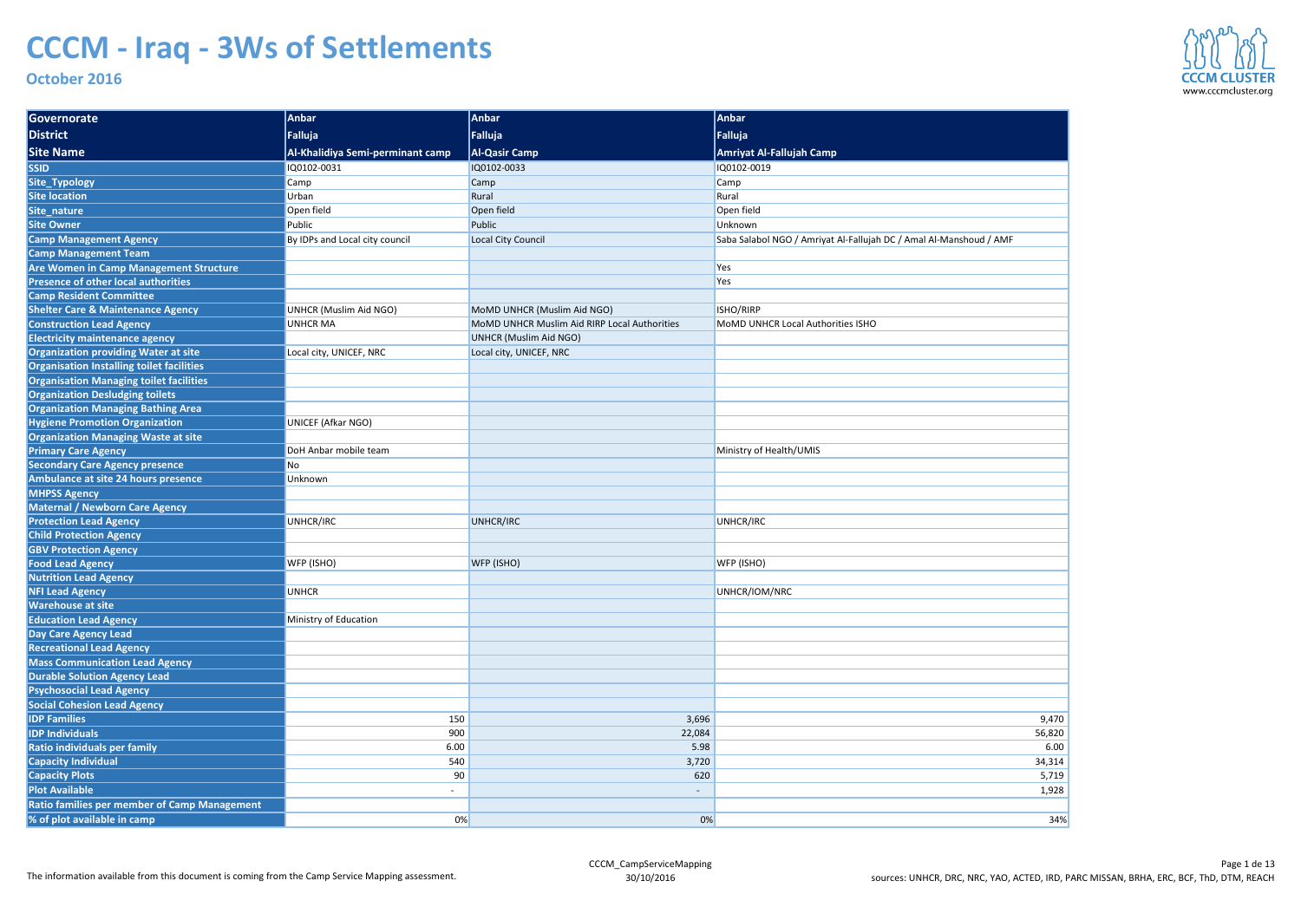| Governorate                                                            | Anbar                            | Anbar                                        | Anbar                                                              |
|------------------------------------------------------------------------|----------------------------------|----------------------------------------------|--------------------------------------------------------------------|
| <b>District</b>                                                        | Falluja                          | Falluja                                      | Falluja                                                            |
| <b>Site Name</b>                                                       | Al-Khalidiya Semi-perminant camp | <b>Al-Qasir Camp</b>                         | Amriyat Al-Fallujah Camp                                           |
| <b>SSID</b>                                                            | IQ0102-0031                      | IQ0102-0033                                  | IQ0102-0019                                                        |
| Site_Typology                                                          | Camp                             | Camp                                         | <b>Camp</b>                                                        |
| <b>Site location</b>                                                   | Urban                            | Rural                                        | Rural                                                              |
| Site_nature                                                            | Open field                       | Open field                                   | Open field                                                         |
| <b>Site Owner</b>                                                      | Public                           | Public                                       | Unknown                                                            |
| <b>Camp Management Agency</b>                                          | By IDPs and Local city council   | Local City Council                           | Saba Salabol NGO / Amriyat Al-Fallujah DC / Amal Al-Manshoud / AMF |
| <b>Camp Management Team</b>                                            |                                  |                                              |                                                                    |
| <b>Are Women in Camp Management Structure</b>                          |                                  |                                              | Yes                                                                |
| <b>Presence of other local authorities</b>                             |                                  |                                              | Yes                                                                |
| <b>Camp Resident Committee</b>                                         |                                  |                                              |                                                                    |
| <b>Shelter Care &amp; Maintenance Agency</b>                           | UNHCR (Muslim Aid NGO)           | MoMD UNHCR (Muslim Aid NGO)                  | ISHO/RIRP                                                          |
| <b>Construction Lead Agency</b>                                        | <b>UNHCR MA</b>                  | MoMD UNHCR Muslim Aid RIRP Local Authorities | <b>MoMD UNHCR Local Authorities ISHO</b>                           |
| <b>Electricity maintenance agency</b>                                  |                                  | <b>UNHCR (Muslim Aid NGO)</b>                |                                                                    |
| <b>Organization providing Water at site</b>                            | Local city, UNICEF, NRC          | Local city, UNICEF, NRC                      |                                                                    |
| Organisation Installing toilet facilities                              |                                  |                                              |                                                                    |
| <b>Organisation Managing toilet facilities</b>                         |                                  |                                              |                                                                    |
| <b>Organization Desludging toilets</b>                                 |                                  |                                              |                                                                    |
| <b>Organization Managing Bathing Area</b>                              |                                  |                                              |                                                                    |
| <b>Hygiene Promotion Organization</b>                                  | UNICEF (Afkar NGO)               |                                              |                                                                    |
| <b>Organization Managing Waste at site</b>                             |                                  |                                              |                                                                    |
| <b>Primary Care Agency</b>                                             | DoH Anbar mobile team            |                                              | Ministry of Health/UMIS                                            |
| <b>Secondary Care Agency presence</b>                                  | N <sub>o</sub>                   |                                              |                                                                    |
| Ambulance at site 24 hours presence                                    | Unknown                          |                                              |                                                                    |
| <b>MHPSS Agency</b>                                                    |                                  |                                              |                                                                    |
| <b>Maternal / Newborn Care Agency</b>                                  |                                  |                                              |                                                                    |
| <b>Protection Lead Agency</b>                                          | UNHCR/IRC                        | UNHCR/IRC                                    | UNHCR/IRC                                                          |
| <b>Child Protection Agency</b>                                         |                                  |                                              |                                                                    |
| <b>GBV Protection Agency</b>                                           |                                  |                                              |                                                                    |
| <b>Food Lead Agency</b>                                                | WFP (ISHO)                       | WFP (ISHO)                                   | WFP (ISHO)                                                         |
| <b>Nutrition Lead Agency</b>                                           |                                  |                                              |                                                                    |
| <b>NFI Lead Agency</b>                                                 | <b>UNHCR</b>                     |                                              | UNHCR/IOM/NRC                                                      |
| <b>Warehouse at site</b>                                               |                                  |                                              |                                                                    |
| <b>Education Lead Agency</b>                                           | Ministry of Education            |                                              |                                                                    |
| Day Care Agency Lead                                                   |                                  |                                              |                                                                    |
| <b>Recreational Lead Agency</b>                                        |                                  |                                              |                                                                    |
| <b>Mass Communication Lead Agency</b>                                  |                                  |                                              |                                                                    |
| <b>Durable Solution Agency Lead</b><br><b>Psychosocial Lead Agency</b> |                                  |                                              |                                                                    |
| <b>Social Cohesion Lead Agency</b>                                     |                                  |                                              |                                                                    |
| <b>IDP Families</b>                                                    | 150                              | 3,696                                        | 9,470                                                              |
| <b>IDP Individuals</b>                                                 | 900                              | 22,084                                       | 56,820                                                             |
| Ratio individuals per family                                           | 6.00                             | 5.98                                         | 6.00                                                               |
| <b>Capacity Individual</b>                                             | 540                              | 3,720                                        | 34,314                                                             |
| <b>Capacity Plots</b>                                                  | 90                               | 620                                          | 5,719                                                              |
| <b>Plot Available</b>                                                  | $\sim$                           | $\overline{\phantom{a}}$                     | 1,928                                                              |
| <b>Ratio families per member of Camp Management</b>                    |                                  |                                              |                                                                    |
|                                                                        |                                  |                                              |                                                                    |
| % of plot available in camp                                            | 0%                               | 0%                                           | 34%                                                                |



| -Fallujah DC / Amal Al-Manshoud / AMF |
|---------------------------------------|
|                                       |
|                                       |
|                                       |
|                                       |
| es ISHO                               |
|                                       |
|                                       |
|                                       |
|                                       |
|                                       |
|                                       |
|                                       |
|                                       |
|                                       |
|                                       |
|                                       |
|                                       |
|                                       |
|                                       |
|                                       |
|                                       |
|                                       |
|                                       |
|                                       |
|                                       |
|                                       |
|                                       |
|                                       |
| 9,470<br>56,820                       |
| 6.00                                  |
| 34,314                                |
| 5,719                                 |
| 1,928                                 |
|                                       |
| 34%                                   |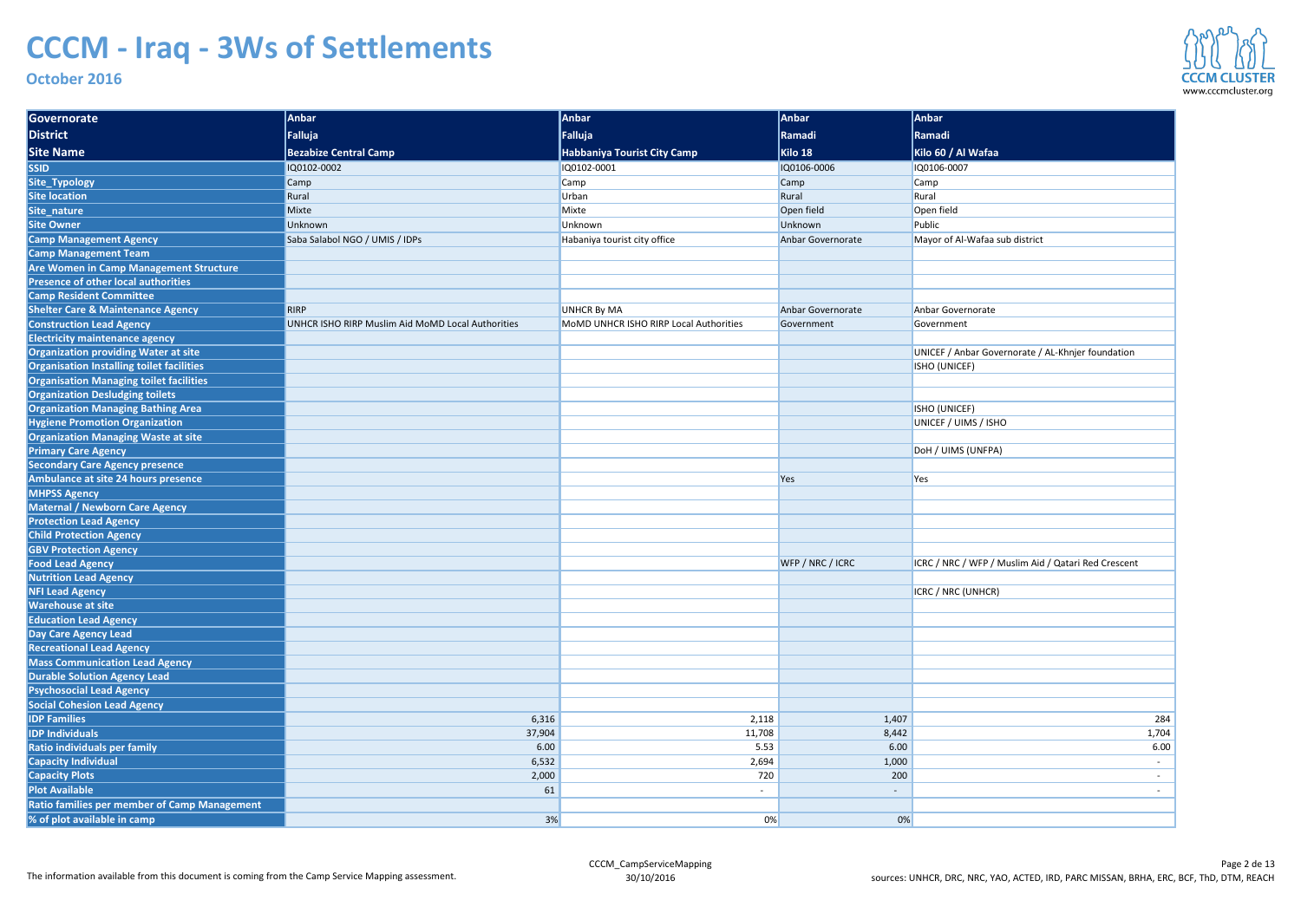| Governorate                                             | Anbar                                             | Anbar                                  | Anbar                    | Anbar                                               |
|---------------------------------------------------------|---------------------------------------------------|----------------------------------------|--------------------------|-----------------------------------------------------|
| District                                                | Falluja                                           | Falluja                                | <b>Ramadi</b>            | Ramadi                                              |
| <b>Site Name</b>                                        | <b>Bezabize Central Camp</b>                      | Habbaniya Tourist City Camp            | Kilo 18                  | Kilo 60 / Al Wafaa                                  |
| <b>SSID</b>                                             | IQ0102-0002                                       | IQ0102-0001                            | IQ0106-0006              | IQ0106-0007                                         |
| Site_Typology                                           | Camp                                              | Camp                                   | Camp                     | <b>Camp</b>                                         |
| <b>Site location</b>                                    | Rural                                             | Urban                                  | Rural                    | Rural                                               |
| Site_nature                                             | Mixte                                             | Mixte                                  | Open field               | Open field                                          |
| <b>Site Owner</b>                                       | Unknown                                           | Unknown                                | Unknown                  | Public                                              |
| <b>Camp Management Agency</b>                           | Saba Salabol NGO / UMIS / IDPs                    | Habaniya tourist city office           | Anbar Governorate        | Mayor of Al-Wafaa sub district                      |
| <b>Camp Management Team</b>                             |                                                   |                                        |                          |                                                     |
| Are Women in Camp Management Structure                  |                                                   |                                        |                          |                                                     |
| Presence of other local authorities                     |                                                   |                                        |                          |                                                     |
| <b>Camp Resident Committee</b>                          |                                                   |                                        |                          |                                                     |
| <b>Shelter Care &amp; Maintenance Agency</b>            | RIRP                                              | <b>UNHCR By MA</b>                     | Anbar Governorate        | Anbar Governorate                                   |
| <b>Construction Lead Agency</b>                         | UNHCR ISHO RIRP Muslim Aid MoMD Local Authorities | MoMD UNHCR ISHO RIRP Local Authorities | Government               | Government                                          |
| <b>Electricity maintenance agency</b>                   |                                                   |                                        |                          |                                                     |
| <b>Organization providing Water at site</b>             |                                                   |                                        |                          | UNICEF / Anbar Governorate / AL-Khnjer foundation   |
| Organisation Installing toilet facilities               |                                                   |                                        |                          | ISHO (UNICEF)                                       |
| <b>Organisation Managing toilet facilities</b>          |                                                   |                                        |                          |                                                     |
| <b>Organization Desludging toilets</b>                  |                                                   |                                        |                          |                                                     |
| <b>Organization Managing Bathing Area</b>               |                                                   |                                        |                          | ISHO (UNICEF)                                       |
| <b>Hygiene Promotion Organization</b>                   |                                                   |                                        |                          | UNICEF / UIMS / ISHO                                |
| <b>Organization Managing Waste at site</b>              |                                                   |                                        |                          |                                                     |
| <b>Primary Care Agency</b>                              |                                                   |                                        |                          | DoH / UIMS (UNFPA)                                  |
| <b>Secondary Care Agency presence</b>                   |                                                   |                                        |                          |                                                     |
| Ambulance at site 24 hours presence                     |                                                   |                                        | Yes                      | Yes                                                 |
| <b>MHPSS Agency</b>                                     |                                                   |                                        |                          |                                                     |
| Maternal / Newborn Care Agency                          |                                                   |                                        |                          |                                                     |
| <b>Protection Lead Agency</b>                           |                                                   |                                        |                          |                                                     |
| <b>Child Protection Agency</b>                          |                                                   |                                        |                          |                                                     |
| <b>GBV Protection Agency</b>                            |                                                   |                                        |                          |                                                     |
| <b>Food Lead Agency</b><br><b>Nutrition Lead Agency</b> |                                                   |                                        | WFP / NRC / ICRC         | ICRC / NRC / WFP / Muslim Aid / Qatari Red Crescent |
| <b>NFI Lead Agency</b>                                  |                                                   |                                        |                          | ICRC / NRC (UNHCR)                                  |
| <b>Warehouse at site</b>                                |                                                   |                                        |                          |                                                     |
| <b>Education Lead Agency</b>                            |                                                   |                                        |                          |                                                     |
| Day Care Agency Lead                                    |                                                   |                                        |                          |                                                     |
| <b>Recreational Lead Agency</b>                         |                                                   |                                        |                          |                                                     |
| <b>Mass Communication Lead Agency</b>                   |                                                   |                                        |                          |                                                     |
| <b>Durable Solution Agency Lead</b>                     |                                                   |                                        |                          |                                                     |
| <b>Psychosocial Lead Agency</b>                         |                                                   |                                        |                          |                                                     |
| <b>Social Cohesion Lead Agency</b>                      |                                                   |                                        |                          |                                                     |
| <b>IDP Families</b>                                     | 6,316                                             | 2,118                                  | 1,407                    | 284                                                 |
| <b>IDP Individuals</b>                                  | 37,904                                            | 11,708                                 | 8,442                    | 1,704                                               |
| Ratio individuals per family                            | 6.00                                              | 5.53                                   | 6.00                     | 6.00                                                |
| <b>Capacity Individual</b>                              | 6,532                                             | 2,694                                  | 1,000                    |                                                     |
| <b>Capacity Plots</b>                                   | 2,000                                             | 720                                    | 200                      |                                                     |
| <b>Plot Available</b>                                   | 61                                                | $\sim$                                 | $\overline{\phantom{a}}$ |                                                     |
| <b>Ratio families per member of Camp Management</b>     |                                                   |                                        |                          |                                                     |
| % of plot available in camp                             | 3%                                                | 0%                                     | 0%                       |                                                     |
|                                                         |                                                   |                                        |                          |                                                     |

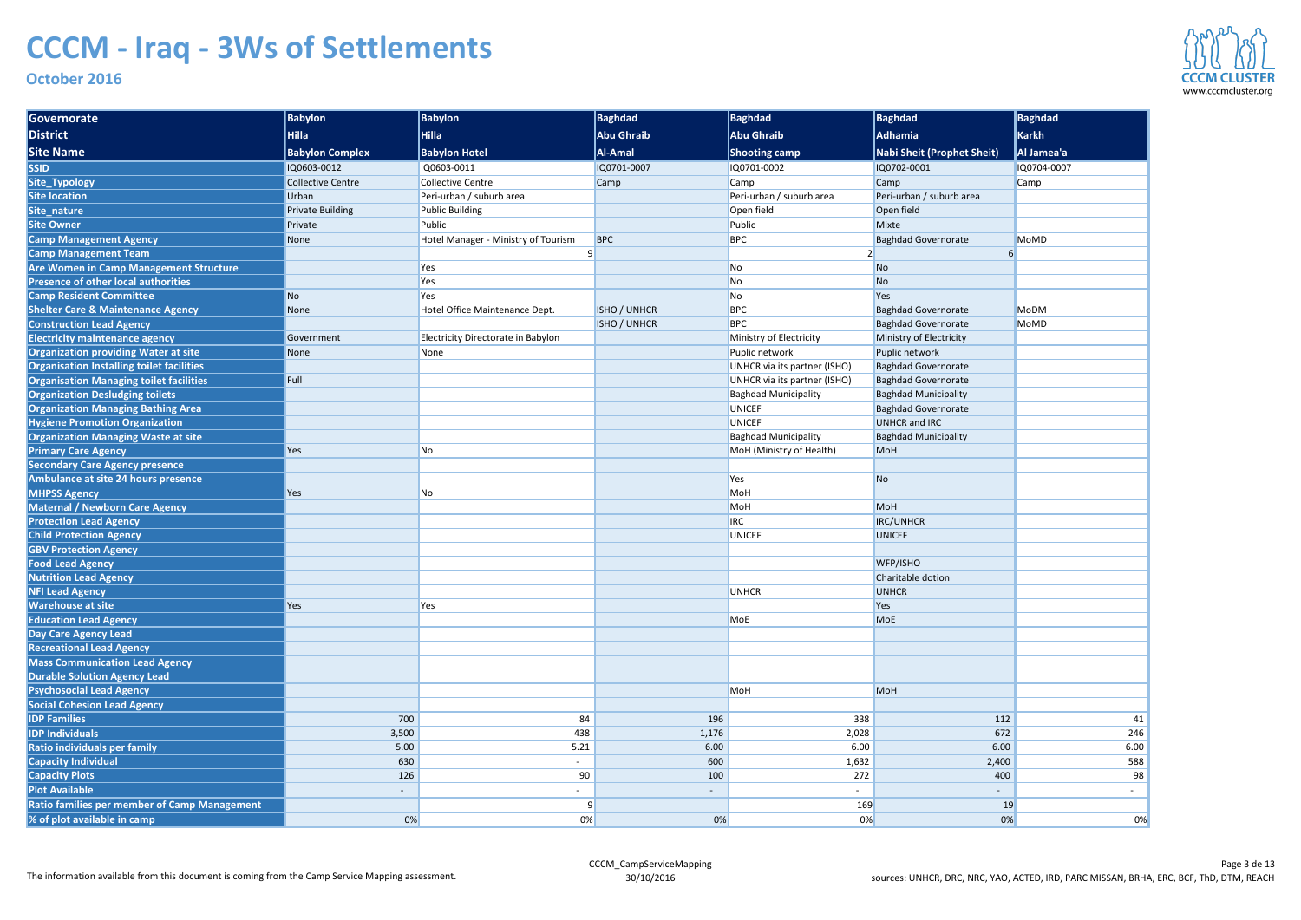| Governorate                                         | <b>Babylon</b>           | <b>Babylon</b>                      | Baghdad             | Baghdad                      | <b>Baghdad</b>                    | <b>Baghdad</b> |
|-----------------------------------------------------|--------------------------|-------------------------------------|---------------------|------------------------------|-----------------------------------|----------------|
| <b>District</b>                                     | Hilla                    | <b>Hilla</b>                        | <b>Abu Ghraib</b>   | <b>Abu Ghraib</b>            | Adhamia                           | Karkh          |
| <b>Site Name</b>                                    | <b>Babylon Complex</b>   | <b>Babylon Hotel</b>                | <b>Al-Amal</b>      | <b>Shooting camp</b>         | <b>Nabi Sheit (Prophet Sheit)</b> | Al Jamea'a     |
| <b>SSID</b>                                         | IQ0603-0012              | IQ0603-0011                         | IQ0701-0007         | IQ0701-0002                  | IQ0702-0001                       | IQ0704-0007    |
| Site_Typology                                       | <b>Collective Centre</b> | <b>Collective Centre</b>            | Camp                | Camp                         | Camp                              | <b>Camp</b>    |
| <b>Site location</b>                                | Urban                    | Peri-urban / suburb area            |                     | Peri-urban / suburb area     | Peri-urban / suburb area          |                |
| Site_nature                                         | <b>Private Building</b>  | <b>Public Building</b>              |                     | Open field                   | Open field                        |                |
| <b>Site Owner</b>                                   | Private                  | Public                              |                     | Public                       | Mixte                             |                |
| <b>Camp Management Agency</b>                       | None                     | Hotel Manager - Ministry of Tourism | <b>BPC</b>          | <b>BPC</b>                   | <b>Baghdad Governorate</b>        | <b>MoMD</b>    |
| <b>Camp Management Team</b>                         |                          |                                     |                     |                              |                                   |                |
| <b>Are Women in Camp Management Structure</b>       |                          | Yes                                 |                     | <b>No</b>                    | <b>No</b>                         |                |
| <b>Presence of other local authorities</b>          |                          | Yes                                 |                     | <b>No</b>                    | N <sub>o</sub>                    |                |
| <b>Camp Resident Committee</b>                      | N <sub>o</sub>           | Yes                                 |                     | <b>No</b>                    | Yes                               |                |
| <b>Shelter Care &amp; Maintenance Agency</b>        | None                     | Hotel Office Maintenance Dept.      | <b>ISHO / UNHCR</b> | <b>BPC</b>                   | <b>Baghdad Governorate</b>        | <b>MoDM</b>    |
| <b>Construction Lead Agency</b>                     |                          |                                     | <b>ISHO / UNHCR</b> | <b>BPC</b>                   | <b>Baghdad Governorate</b>        | <b>MoMD</b>    |
| <b>Electricity maintenance agency</b>               | Government               | Electricity Directorate in Babylon  |                     | Ministry of Electricity      | Ministry of Electricity           |                |
| <b>Organization providing Water at site</b>         | <b>None</b>              | None                                |                     | Puplic network               | Puplic network                    |                |
| Organisation Installing toilet facilities           |                          |                                     |                     | UNHCR via its partner (ISHO) | <b>Baghdad Governorate</b>        |                |
| <b>Organisation Managing toilet facilities</b>      | Full                     |                                     |                     | UNHCR via its partner (ISHO) | <b>Baghdad Governorate</b>        |                |
| <b>Organization Desludging toilets</b>              |                          |                                     |                     | <b>Baghdad Municipality</b>  | <b>Baghdad Municipality</b>       |                |
| <b>Organization Managing Bathing Area</b>           |                          |                                     |                     | <b>UNICEF</b>                | <b>Baghdad Governorate</b>        |                |
| <b>Hygiene Promotion Organization</b>               |                          |                                     |                     | <b>UNICEF</b>                | <b>UNHCR</b> and IRC              |                |
| <b>Organization Managing Waste at site</b>          |                          |                                     |                     | <b>Baghdad Municipality</b>  | <b>Baghdad Municipality</b>       |                |
| <b>Primary Care Agency</b>                          | Yes                      | No                                  |                     | MoH (Ministry of Health)     | MoH                               |                |
| <b>Secondary Care Agency presence</b>               |                          |                                     |                     |                              |                                   |                |
| Ambulance at site 24 hours presence                 |                          |                                     |                     | Yes                          | N <sub>o</sub>                    |                |
| <b>MHPSS Agency</b>                                 | Yes                      | No                                  |                     | MoH                          |                                   |                |
| <b>Maternal / Newborn Care Agency</b>               |                          |                                     |                     | MoH                          | MoH                               |                |
| <b>Protection Lead Agency</b>                       |                          |                                     |                     | <b>IRC</b>                   | <b>IRC/UNHCR</b>                  |                |
| <b>Child Protection Agency</b>                      |                          |                                     |                     | <b>UNICEF</b>                | <b>UNICEF</b>                     |                |
| <b>GBV Protection Agency</b>                        |                          |                                     |                     |                              |                                   |                |
| <b>Food Lead Agency</b>                             |                          |                                     |                     |                              | WFP/ISHO                          |                |
| <b>Nutrition Lead Agency</b>                        |                          |                                     |                     |                              | Charitable dotion                 |                |
| <b>NFI Lead Agency</b>                              |                          |                                     |                     | <b>UNHCR</b>                 | <b>UNHCR</b>                      |                |
| <b>Warehouse at site</b>                            | Yes                      | Yes                                 |                     |                              | Yes                               |                |
| <b>Education Lead Agency</b>                        |                          |                                     |                     | MoE                          | <b>MoE</b>                        |                |
| Day Care Agency Lead                                |                          |                                     |                     |                              |                                   |                |
| <b>Recreational Lead Agency</b>                     |                          |                                     |                     |                              |                                   |                |
| <b>Mass Communication Lead Agency</b>               |                          |                                     |                     |                              |                                   |                |
| <b>Durable Solution Agency Lead</b>                 |                          |                                     |                     |                              |                                   |                |
| <b>Psychosocial Lead Agency</b>                     |                          |                                     |                     | MoH                          | MoH                               |                |
| <b>Social Cohesion Lead Agency</b>                  |                          |                                     |                     |                              |                                   |                |
| <b>IDP Families</b>                                 | 700                      | 84                                  | 196                 | 338                          | 112                               | 41             |
| <b>IDP Individuals</b>                              | 3,500                    | 438                                 | 1,176               | 2,028                        | 672                               | 246            |
| Ratio individuals per family                        | 5.00                     | 5.21                                | 6.00                | 6.00                         | 6.00                              | 6.00           |
| <b>Capacity Individual</b>                          | 630                      | $\sim$                              | 600                 | 1,632                        | 2,400                             | 588            |
| <b>Capacity Plots</b>                               | 126                      | 90                                  | 100                 | 272                          | 400                               | 98             |
| <b>Plot Available</b>                               | $\overline{\phantom{a}}$ |                                     |                     |                              |                                   |                |
| <b>Ratio families per member of Camp Management</b> |                          |                                     |                     | 169                          | 19                                |                |
| % of plot available in camp                         | 0%                       | 0%                                  | 0%                  | 0%                           | 0%                                | 0%             |

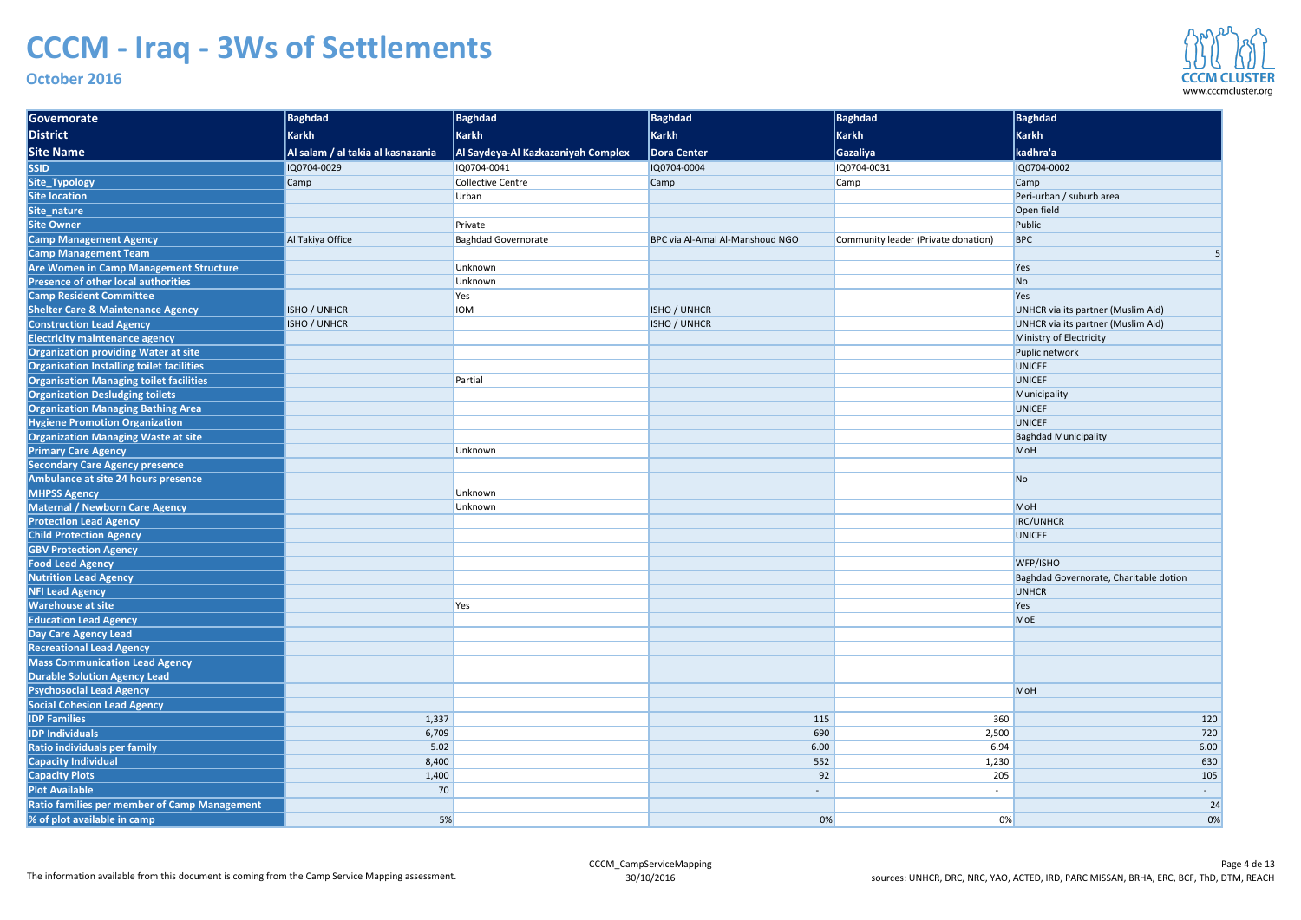| Governorate                                    | Baghdad                           | Baghdad                            | Baghdad                         | Baghdad                             | Baghdad                                   |
|------------------------------------------------|-----------------------------------|------------------------------------|---------------------------------|-------------------------------------|-------------------------------------------|
| District                                       | <b>Karkh</b>                      | Karkh                              | Karkh                           | <b>Karkh</b>                        | Karkh                                     |
| <b>Site Name</b>                               | Al salam / al takia al kasnazania | Al Saydeya-Al Kazkazaniyah Complex | Dora Center                     | <b>Gazaliya</b>                     | kadhra'a                                  |
| <b>SSID</b>                                    | IQ0704-0029                       | IQ0704-0041                        | IQ0704-0004                     | IQ0704-0031                         | IQ0704-0002                               |
| Site_Typology                                  | Camp                              | <b>Collective Centre</b>           | Camp                            | <b>Camp</b>                         | Camp                                      |
| <b>Site location</b>                           |                                   | Urban                              |                                 |                                     | Peri-urban / suburb area                  |
| Site_nature                                    |                                   |                                    |                                 |                                     | Open field                                |
| <b>Site Owner</b>                              |                                   | Private                            |                                 |                                     | Public                                    |
| <b>Camp Management Agency</b>                  | Al Takiya Office                  | <b>Baghdad Governorate</b>         | BPC via Al-Amal Al-Manshoud NGO | Community leader (Private donation) | <b>BPC</b>                                |
| <b>Camp Management Team</b>                    |                                   |                                    |                                 |                                     |                                           |
| <b>Are Women in Camp Management Structure</b>  |                                   | Unknown                            |                                 |                                     | Yes                                       |
| <b>Presence of other local authorities</b>     |                                   | Unknown                            |                                 |                                     | No                                        |
| <b>Camp Resident Committee</b>                 |                                   | Yes                                |                                 |                                     | Yes                                       |
| <b>Shelter Care &amp; Maintenance Agency</b>   | <b>ISHO / UNHCR</b>               | <b>IOM</b>                         | <b>ISHO / UNHCR</b>             |                                     | <b>UNHCR via its partner (Muslim Aid)</b> |
| <b>Construction Lead Agency</b>                | <b>ISHO / UNHCR</b>               |                                    | <b>ISHO / UNHCR</b>             |                                     | UNHCR via its partner (Muslim Aid)        |
| <b>Electricity maintenance agency</b>          |                                   |                                    |                                 |                                     | Ministry of Electricity                   |
| <b>Organization providing Water at site</b>    |                                   |                                    |                                 |                                     | Puplic network                            |
| Organisation Installing toilet facilities      |                                   |                                    |                                 |                                     | <b>UNICEF</b>                             |
| <b>Organisation Managing toilet facilities</b> |                                   | Partial                            |                                 |                                     | <b>UNICEF</b>                             |
| <b>Organization Desludging toilets</b>         |                                   |                                    |                                 |                                     | Municipality                              |
| <b>Organization Managing Bathing Area</b>      |                                   |                                    |                                 |                                     | <b>UNICEF</b>                             |
| <b>Hygiene Promotion Organization</b>          |                                   |                                    |                                 |                                     | <b>UNICEF</b>                             |
| <b>Organization Managing Waste at site</b>     |                                   |                                    |                                 |                                     | <b>Baghdad Municipality</b>               |
| <b>Primary Care Agency</b>                     |                                   | Unknown                            |                                 |                                     | MoH                                       |
| <b>Secondary Care Agency presence</b>          |                                   |                                    |                                 |                                     |                                           |
| Ambulance at site 24 hours presence            |                                   |                                    |                                 |                                     | N <sub>o</sub>                            |
| <b>MHPSS Agency</b>                            |                                   | Unknown                            |                                 |                                     |                                           |
| Maternal / Newborn Care Agency                 |                                   | Unknown                            |                                 |                                     | MoH                                       |
| <b>Protection Lead Agency</b>                  |                                   |                                    |                                 |                                     | <b>IRC/UNHCR</b>                          |
| <b>Child Protection Agency</b>                 |                                   |                                    |                                 |                                     | <b>UNICEF</b>                             |
| <b>GBV Protection Agency</b>                   |                                   |                                    |                                 |                                     |                                           |
| <b>Food Lead Agency</b>                        |                                   |                                    |                                 |                                     | WFP/ISHO                                  |
| <b>Nutrition Lead Agency</b>                   |                                   |                                    |                                 |                                     | Baghdad Governorate, Charitable dotion    |
| <b>NFI Lead Agency</b>                         |                                   |                                    |                                 |                                     | <b>UNHCR</b>                              |
| <b>Warehouse at site</b>                       |                                   | Yes                                |                                 |                                     | Yes                                       |
| <b>Education Lead Agency</b>                   |                                   |                                    |                                 |                                     | MoE                                       |
| Day Care Agency Lead                           |                                   |                                    |                                 |                                     |                                           |
| <b>Recreational Lead Agency</b>                |                                   |                                    |                                 |                                     |                                           |
| <b>Mass Communication Lead Agency</b>          |                                   |                                    |                                 |                                     |                                           |
| <b>Durable Solution Agency Lead</b>            |                                   |                                    |                                 |                                     |                                           |
| <b>Psychosocial Lead Agency</b>                |                                   |                                    |                                 |                                     | MoH                                       |
| <b>Social Cohesion Lead Agency</b>             |                                   |                                    |                                 |                                     |                                           |
| <b>IDP Families</b>                            | 1,337                             |                                    | 115                             | 360                                 | 120                                       |
| <b>IDP Individuals</b>                         | 6,709                             |                                    | 690                             | 2,500                               | 720                                       |
| Ratio individuals per family                   | 5.02                              |                                    | 6.00                            | 6.94                                | 6.00                                      |
| <b>Capacity Individual</b>                     | 8,400                             |                                    | 552                             | 1,230                               | 630                                       |
| <b>Capacity Plots</b>                          | 1,400                             |                                    | 92                              | 205                                 | 105                                       |
| <b>Plot Available</b>                          | 70                                |                                    |                                 |                                     | $\sigma_{\rm{max}}$                       |
| Ratio families per member of Camp Management   |                                   |                                    |                                 |                                     | 24                                        |
| % of plot available in camp                    | 5%                                |                                    | 0%                              | 0%                                  | 0%                                        |

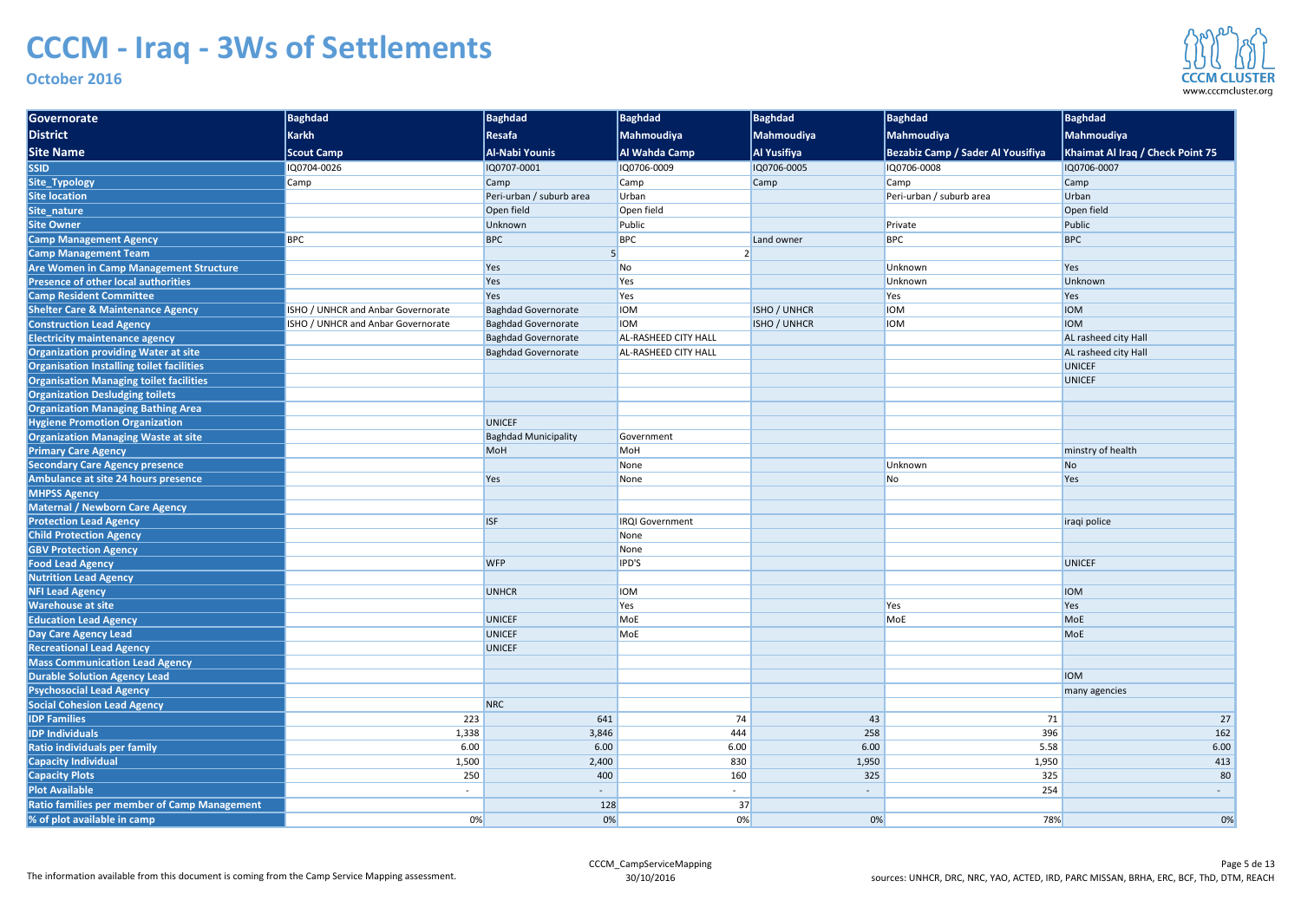### **October 2016**

| District<br><b>Karkh</b><br>Resafa<br>Mahmoudiya<br><b>Mahmoudiya</b><br>Mahmoudiya<br>Mahmoudiya<br><b>Site Name</b><br>Al Wahda Camp<br><b>Bezabiz Camp / Sader Al Yousifiya</b><br>Khaimat Al Iraq / Check Point 75<br><b>Al-Nabi Younis</b><br><b>Al Yusifiya</b><br><b>Scout Camp</b><br><b>SSID</b><br>IQ0704-0026<br>IQ0707-0001<br>IQ0706-0009<br>IQ0706-0005<br>1Q0706-0008<br>IQ0706-0007<br>Site_Typology<br>Camp<br>Camp<br>Camp<br>Camp<br>Camp<br>Camp<br><b>Site location</b><br>Peri-urban / suburb area<br>Peri-urban / suburb area<br>Urban<br>Urban<br>Open field<br>Site_nature<br>Open field<br>Open field<br><b>Site Owner</b><br>Public<br>Unknown<br>Public<br>Private<br><b>BPC</b><br><b>BPC</b><br><b>BPC</b><br><b>BPC</b><br><b>BPC</b><br><b>Camp Management Agency</b><br>Land owner<br><b>Camp Management Team</b><br>Are Women in Camp Management Structure<br>Unknown<br>Yes<br>No<br>Yes<br><b>Presence of other local authorities</b><br>Unknown<br>Yes<br>Yes<br>Unknown<br><b>Camp Resident Committee</b><br>Yes<br>Yes<br>Yes<br>Yes<br><b>Shelter Care &amp; Maintenance Agency</b><br>ISHO / UNHCR and Anbar Governorate<br><b>Baghdad Governorate</b><br><b>IOM</b><br><b>ISHO / UNHCR</b><br><b>IOM</b><br><b>IOM</b><br><b>Construction Lead Agency</b><br><b>IOM</b><br><b>ISHO / UNHCR</b><br><b>IOM</b><br><b>IOM</b><br>ISHO / UNHCR and Anbar Governorate<br><b>Baghdad Governorate</b><br><b>Electricity maintenance agency</b><br><b>Baghdad Governorate</b><br><b>AL-RASHEED CITY HALL</b><br>AL rasheed city Hall<br><b>Organization providing Water at site</b><br><b>Baghdad Governorate</b><br>AL rasheed city Hall<br><b>AL-RASHEED CITY HALL</b><br><b>Organisation Installing toilet facilities</b><br><b>UNICEF</b><br><b>Organisation Managing toilet facilities</b><br><b>UNICEF</b><br><b>Organization Desludging toilets</b><br><b>Organization Managing Bathing Area</b><br><b>Hygiene Promotion Organization</b><br><b>UNICEF</b><br><b>Organization Managing Waste at site</b><br><b>Baghdad Municipality</b><br>Government<br><b>Primary Care Agency</b><br>minstry of health<br><b>MoH</b><br>MoH<br><b>Secondary Care Agency presence</b><br>Unknown<br>None<br><b>No</b><br>Ambulance at site 24 hours presence<br>Yes<br>Yes<br>None<br>No<br><b>MHPSS Agency</b><br><b>Maternal / Newborn Care Agency</b><br><b>Protection Lead Agency</b><br><b>ISF</b><br><b>IRQI Government</b><br>iraqi police<br><b>Child Protection Agency</b><br>None<br><b>GBV Protection Agency</b><br>None<br><b>WFP</b><br><b>Food Lead Agency</b><br>IPD'S<br><b>UNICEF</b><br>Nutrition Lead Agency<br><b>NFI Lead Agency</b><br>UNHCR<br><b>IOM</b><br><b>IOM</b><br><b>Warehouse at site</b><br>Yes<br>Yes<br>Yes<br><b>Education Lead Agency</b><br><b>UNICEF</b><br><b>MoE</b><br>MoE<br><b>MoE</b><br>Day Care Agency Lead<br><b>UNICEF</b><br><b>MoE</b><br><b>MoE</b><br><b>Recreational Lead Agency</b><br>UNICEF<br>Mass Communication Lead Agency<br><b>IOM</b><br><b>Durable Solution Agency Lead</b><br><b>Psychosocial Lead Agency</b><br>many agencies<br><b>Social Cohesion Lead Agency</b><br><b>NRC</b><br><b>IDP Families</b><br>74<br>223<br>641<br>43<br>71<br><b>IDP Individuals</b><br>396<br>1,338<br>3,846<br>444<br>258<br>Ratio individuals per family<br>6.00<br>6.00<br>6.00<br>6.00<br>5.58<br><b>Capacity Individual</b><br>1,500<br>2,400<br>830<br>1,950<br>1,950<br><b>Capacity Plots</b><br>250<br>400<br>160<br>325<br>325<br><b>Plot Available</b><br>254<br>$\sim$<br>$\sim$<br>$\sim 100$<br>$\sim$<br>Ratio families per member of Camp Management<br>37<br>128<br>% of plot available in camp<br>0%<br>$0\%$<br>0%<br>0%<br>78% | Governorate | <b>Baghdad</b> | Baghdad | Baghdad | Baghdad | <b>Baghdad</b> | <b>Baghdad</b> |
|-------------------------------------------------------------------------------------------------------------------------------------------------------------------------------------------------------------------------------------------------------------------------------------------------------------------------------------------------------------------------------------------------------------------------------------------------------------------------------------------------------------------------------------------------------------------------------------------------------------------------------------------------------------------------------------------------------------------------------------------------------------------------------------------------------------------------------------------------------------------------------------------------------------------------------------------------------------------------------------------------------------------------------------------------------------------------------------------------------------------------------------------------------------------------------------------------------------------------------------------------------------------------------------------------------------------------------------------------------------------------------------------------------------------------------------------------------------------------------------------------------------------------------------------------------------------------------------------------------------------------------------------------------------------------------------------------------------------------------------------------------------------------------------------------------------------------------------------------------------------------------------------------------------------------------------------------------------------------------------------------------------------------------------------------------------------------------------------------------------------------------------------------------------------------------------------------------------------------------------------------------------------------------------------------------------------------------------------------------------------------------------------------------------------------------------------------------------------------------------------------------------------------------------------------------------------------------------------------------------------------------------------------------------------------------------------------------------------------------------------------------------------------------------------------------------------------------------------------------------------------------------------------------------------------------------------------------------------------------------------------------------------------------------------------------------------------------------------------------------------------------------------------------------------------------------------------------------------------------------------------------------------------------------------------------------------------------------------------------------------------------------------------------------------------------------------------------------------------------------------------------------------------------------------------------------------------------------------------------------------------------------------------------------------------------------------------------------------------------|-------------|----------------|---------|---------|---------|----------------|----------------|
|                                                                                                                                                                                                                                                                                                                                                                                                                                                                                                                                                                                                                                                                                                                                                                                                                                                                                                                                                                                                                                                                                                                                                                                                                                                                                                                                                                                                                                                                                                                                                                                                                                                                                                                                                                                                                                                                                                                                                                                                                                                                                                                                                                                                                                                                                                                                                                                                                                                                                                                                                                                                                                                                                                                                                                                                                                                                                                                                                                                                                                                                                                                                                                                                                                                                                                                                                                                                                                                                                                                                                                                                                                                                                                                               |             |                |         |         |         |                |                |
|                                                                                                                                                                                                                                                                                                                                                                                                                                                                                                                                                                                                                                                                                                                                                                                                                                                                                                                                                                                                                                                                                                                                                                                                                                                                                                                                                                                                                                                                                                                                                                                                                                                                                                                                                                                                                                                                                                                                                                                                                                                                                                                                                                                                                                                                                                                                                                                                                                                                                                                                                                                                                                                                                                                                                                                                                                                                                                                                                                                                                                                                                                                                                                                                                                                                                                                                                                                                                                                                                                                                                                                                                                                                                                                               |             |                |         |         |         |                |                |
|                                                                                                                                                                                                                                                                                                                                                                                                                                                                                                                                                                                                                                                                                                                                                                                                                                                                                                                                                                                                                                                                                                                                                                                                                                                                                                                                                                                                                                                                                                                                                                                                                                                                                                                                                                                                                                                                                                                                                                                                                                                                                                                                                                                                                                                                                                                                                                                                                                                                                                                                                                                                                                                                                                                                                                                                                                                                                                                                                                                                                                                                                                                                                                                                                                                                                                                                                                                                                                                                                                                                                                                                                                                                                                                               |             |                |         |         |         |                |                |
|                                                                                                                                                                                                                                                                                                                                                                                                                                                                                                                                                                                                                                                                                                                                                                                                                                                                                                                                                                                                                                                                                                                                                                                                                                                                                                                                                                                                                                                                                                                                                                                                                                                                                                                                                                                                                                                                                                                                                                                                                                                                                                                                                                                                                                                                                                                                                                                                                                                                                                                                                                                                                                                                                                                                                                                                                                                                                                                                                                                                                                                                                                                                                                                                                                                                                                                                                                                                                                                                                                                                                                                                                                                                                                                               |             |                |         |         |         |                |                |
|                                                                                                                                                                                                                                                                                                                                                                                                                                                                                                                                                                                                                                                                                                                                                                                                                                                                                                                                                                                                                                                                                                                                                                                                                                                                                                                                                                                                                                                                                                                                                                                                                                                                                                                                                                                                                                                                                                                                                                                                                                                                                                                                                                                                                                                                                                                                                                                                                                                                                                                                                                                                                                                                                                                                                                                                                                                                                                                                                                                                                                                                                                                                                                                                                                                                                                                                                                                                                                                                                                                                                                                                                                                                                                                               |             |                |         |         |         |                |                |
|                                                                                                                                                                                                                                                                                                                                                                                                                                                                                                                                                                                                                                                                                                                                                                                                                                                                                                                                                                                                                                                                                                                                                                                                                                                                                                                                                                                                                                                                                                                                                                                                                                                                                                                                                                                                                                                                                                                                                                                                                                                                                                                                                                                                                                                                                                                                                                                                                                                                                                                                                                                                                                                                                                                                                                                                                                                                                                                                                                                                                                                                                                                                                                                                                                                                                                                                                                                                                                                                                                                                                                                                                                                                                                                               |             |                |         |         |         |                |                |
|                                                                                                                                                                                                                                                                                                                                                                                                                                                                                                                                                                                                                                                                                                                                                                                                                                                                                                                                                                                                                                                                                                                                                                                                                                                                                                                                                                                                                                                                                                                                                                                                                                                                                                                                                                                                                                                                                                                                                                                                                                                                                                                                                                                                                                                                                                                                                                                                                                                                                                                                                                                                                                                                                                                                                                                                                                                                                                                                                                                                                                                                                                                                                                                                                                                                                                                                                                                                                                                                                                                                                                                                                                                                                                                               |             |                |         |         |         |                |                |
|                                                                                                                                                                                                                                                                                                                                                                                                                                                                                                                                                                                                                                                                                                                                                                                                                                                                                                                                                                                                                                                                                                                                                                                                                                                                                                                                                                                                                                                                                                                                                                                                                                                                                                                                                                                                                                                                                                                                                                                                                                                                                                                                                                                                                                                                                                                                                                                                                                                                                                                                                                                                                                                                                                                                                                                                                                                                                                                                                                                                                                                                                                                                                                                                                                                                                                                                                                                                                                                                                                                                                                                                                                                                                                                               |             |                |         |         |         |                |                |
|                                                                                                                                                                                                                                                                                                                                                                                                                                                                                                                                                                                                                                                                                                                                                                                                                                                                                                                                                                                                                                                                                                                                                                                                                                                                                                                                                                                                                                                                                                                                                                                                                                                                                                                                                                                                                                                                                                                                                                                                                                                                                                                                                                                                                                                                                                                                                                                                                                                                                                                                                                                                                                                                                                                                                                                                                                                                                                                                                                                                                                                                                                                                                                                                                                                                                                                                                                                                                                                                                                                                                                                                                                                                                                                               |             |                |         |         |         |                |                |
|                                                                                                                                                                                                                                                                                                                                                                                                                                                                                                                                                                                                                                                                                                                                                                                                                                                                                                                                                                                                                                                                                                                                                                                                                                                                                                                                                                                                                                                                                                                                                                                                                                                                                                                                                                                                                                                                                                                                                                                                                                                                                                                                                                                                                                                                                                                                                                                                                                                                                                                                                                                                                                                                                                                                                                                                                                                                                                                                                                                                                                                                                                                                                                                                                                                                                                                                                                                                                                                                                                                                                                                                                                                                                                                               |             |                |         |         |         |                |                |
|                                                                                                                                                                                                                                                                                                                                                                                                                                                                                                                                                                                                                                                                                                                                                                                                                                                                                                                                                                                                                                                                                                                                                                                                                                                                                                                                                                                                                                                                                                                                                                                                                                                                                                                                                                                                                                                                                                                                                                                                                                                                                                                                                                                                                                                                                                                                                                                                                                                                                                                                                                                                                                                                                                                                                                                                                                                                                                                                                                                                                                                                                                                                                                                                                                                                                                                                                                                                                                                                                                                                                                                                                                                                                                                               |             |                |         |         |         |                |                |
|                                                                                                                                                                                                                                                                                                                                                                                                                                                                                                                                                                                                                                                                                                                                                                                                                                                                                                                                                                                                                                                                                                                                                                                                                                                                                                                                                                                                                                                                                                                                                                                                                                                                                                                                                                                                                                                                                                                                                                                                                                                                                                                                                                                                                                                                                                                                                                                                                                                                                                                                                                                                                                                                                                                                                                                                                                                                                                                                                                                                                                                                                                                                                                                                                                                                                                                                                                                                                                                                                                                                                                                                                                                                                                                               |             |                |         |         |         |                |                |
|                                                                                                                                                                                                                                                                                                                                                                                                                                                                                                                                                                                                                                                                                                                                                                                                                                                                                                                                                                                                                                                                                                                                                                                                                                                                                                                                                                                                                                                                                                                                                                                                                                                                                                                                                                                                                                                                                                                                                                                                                                                                                                                                                                                                                                                                                                                                                                                                                                                                                                                                                                                                                                                                                                                                                                                                                                                                                                                                                                                                                                                                                                                                                                                                                                                                                                                                                                                                                                                                                                                                                                                                                                                                                                                               |             |                |         |         |         |                |                |
|                                                                                                                                                                                                                                                                                                                                                                                                                                                                                                                                                                                                                                                                                                                                                                                                                                                                                                                                                                                                                                                                                                                                                                                                                                                                                                                                                                                                                                                                                                                                                                                                                                                                                                                                                                                                                                                                                                                                                                                                                                                                                                                                                                                                                                                                                                                                                                                                                                                                                                                                                                                                                                                                                                                                                                                                                                                                                                                                                                                                                                                                                                                                                                                                                                                                                                                                                                                                                                                                                                                                                                                                                                                                                                                               |             |                |         |         |         |                |                |
|                                                                                                                                                                                                                                                                                                                                                                                                                                                                                                                                                                                                                                                                                                                                                                                                                                                                                                                                                                                                                                                                                                                                                                                                                                                                                                                                                                                                                                                                                                                                                                                                                                                                                                                                                                                                                                                                                                                                                                                                                                                                                                                                                                                                                                                                                                                                                                                                                                                                                                                                                                                                                                                                                                                                                                                                                                                                                                                                                                                                                                                                                                                                                                                                                                                                                                                                                                                                                                                                                                                                                                                                                                                                                                                               |             |                |         |         |         |                |                |
|                                                                                                                                                                                                                                                                                                                                                                                                                                                                                                                                                                                                                                                                                                                                                                                                                                                                                                                                                                                                                                                                                                                                                                                                                                                                                                                                                                                                                                                                                                                                                                                                                                                                                                                                                                                                                                                                                                                                                                                                                                                                                                                                                                                                                                                                                                                                                                                                                                                                                                                                                                                                                                                                                                                                                                                                                                                                                                                                                                                                                                                                                                                                                                                                                                                                                                                                                                                                                                                                                                                                                                                                                                                                                                                               |             |                |         |         |         |                |                |
|                                                                                                                                                                                                                                                                                                                                                                                                                                                                                                                                                                                                                                                                                                                                                                                                                                                                                                                                                                                                                                                                                                                                                                                                                                                                                                                                                                                                                                                                                                                                                                                                                                                                                                                                                                                                                                                                                                                                                                                                                                                                                                                                                                                                                                                                                                                                                                                                                                                                                                                                                                                                                                                                                                                                                                                                                                                                                                                                                                                                                                                                                                                                                                                                                                                                                                                                                                                                                                                                                                                                                                                                                                                                                                                               |             |                |         |         |         |                |                |
|                                                                                                                                                                                                                                                                                                                                                                                                                                                                                                                                                                                                                                                                                                                                                                                                                                                                                                                                                                                                                                                                                                                                                                                                                                                                                                                                                                                                                                                                                                                                                                                                                                                                                                                                                                                                                                                                                                                                                                                                                                                                                                                                                                                                                                                                                                                                                                                                                                                                                                                                                                                                                                                                                                                                                                                                                                                                                                                                                                                                                                                                                                                                                                                                                                                                                                                                                                                                                                                                                                                                                                                                                                                                                                                               |             |                |         |         |         |                |                |
|                                                                                                                                                                                                                                                                                                                                                                                                                                                                                                                                                                                                                                                                                                                                                                                                                                                                                                                                                                                                                                                                                                                                                                                                                                                                                                                                                                                                                                                                                                                                                                                                                                                                                                                                                                                                                                                                                                                                                                                                                                                                                                                                                                                                                                                                                                                                                                                                                                                                                                                                                                                                                                                                                                                                                                                                                                                                                                                                                                                                                                                                                                                                                                                                                                                                                                                                                                                                                                                                                                                                                                                                                                                                                                                               |             |                |         |         |         |                |                |
|                                                                                                                                                                                                                                                                                                                                                                                                                                                                                                                                                                                                                                                                                                                                                                                                                                                                                                                                                                                                                                                                                                                                                                                                                                                                                                                                                                                                                                                                                                                                                                                                                                                                                                                                                                                                                                                                                                                                                                                                                                                                                                                                                                                                                                                                                                                                                                                                                                                                                                                                                                                                                                                                                                                                                                                                                                                                                                                                                                                                                                                                                                                                                                                                                                                                                                                                                                                                                                                                                                                                                                                                                                                                                                                               |             |                |         |         |         |                |                |
|                                                                                                                                                                                                                                                                                                                                                                                                                                                                                                                                                                                                                                                                                                                                                                                                                                                                                                                                                                                                                                                                                                                                                                                                                                                                                                                                                                                                                                                                                                                                                                                                                                                                                                                                                                                                                                                                                                                                                                                                                                                                                                                                                                                                                                                                                                                                                                                                                                                                                                                                                                                                                                                                                                                                                                                                                                                                                                                                                                                                                                                                                                                                                                                                                                                                                                                                                                                                                                                                                                                                                                                                                                                                                                                               |             |                |         |         |         |                |                |
|                                                                                                                                                                                                                                                                                                                                                                                                                                                                                                                                                                                                                                                                                                                                                                                                                                                                                                                                                                                                                                                                                                                                                                                                                                                                                                                                                                                                                                                                                                                                                                                                                                                                                                                                                                                                                                                                                                                                                                                                                                                                                                                                                                                                                                                                                                                                                                                                                                                                                                                                                                                                                                                                                                                                                                                                                                                                                                                                                                                                                                                                                                                                                                                                                                                                                                                                                                                                                                                                                                                                                                                                                                                                                                                               |             |                |         |         |         |                |                |
|                                                                                                                                                                                                                                                                                                                                                                                                                                                                                                                                                                                                                                                                                                                                                                                                                                                                                                                                                                                                                                                                                                                                                                                                                                                                                                                                                                                                                                                                                                                                                                                                                                                                                                                                                                                                                                                                                                                                                                                                                                                                                                                                                                                                                                                                                                                                                                                                                                                                                                                                                                                                                                                                                                                                                                                                                                                                                                                                                                                                                                                                                                                                                                                                                                                                                                                                                                                                                                                                                                                                                                                                                                                                                                                               |             |                |         |         |         |                |                |
|                                                                                                                                                                                                                                                                                                                                                                                                                                                                                                                                                                                                                                                                                                                                                                                                                                                                                                                                                                                                                                                                                                                                                                                                                                                                                                                                                                                                                                                                                                                                                                                                                                                                                                                                                                                                                                                                                                                                                                                                                                                                                                                                                                                                                                                                                                                                                                                                                                                                                                                                                                                                                                                                                                                                                                                                                                                                                                                                                                                                                                                                                                                                                                                                                                                                                                                                                                                                                                                                                                                                                                                                                                                                                                                               |             |                |         |         |         |                |                |
|                                                                                                                                                                                                                                                                                                                                                                                                                                                                                                                                                                                                                                                                                                                                                                                                                                                                                                                                                                                                                                                                                                                                                                                                                                                                                                                                                                                                                                                                                                                                                                                                                                                                                                                                                                                                                                                                                                                                                                                                                                                                                                                                                                                                                                                                                                                                                                                                                                                                                                                                                                                                                                                                                                                                                                                                                                                                                                                                                                                                                                                                                                                                                                                                                                                                                                                                                                                                                                                                                                                                                                                                                                                                                                                               |             |                |         |         |         |                |                |
|                                                                                                                                                                                                                                                                                                                                                                                                                                                                                                                                                                                                                                                                                                                                                                                                                                                                                                                                                                                                                                                                                                                                                                                                                                                                                                                                                                                                                                                                                                                                                                                                                                                                                                                                                                                                                                                                                                                                                                                                                                                                                                                                                                                                                                                                                                                                                                                                                                                                                                                                                                                                                                                                                                                                                                                                                                                                                                                                                                                                                                                                                                                                                                                                                                                                                                                                                                                                                                                                                                                                                                                                                                                                                                                               |             |                |         |         |         |                |                |
|                                                                                                                                                                                                                                                                                                                                                                                                                                                                                                                                                                                                                                                                                                                                                                                                                                                                                                                                                                                                                                                                                                                                                                                                                                                                                                                                                                                                                                                                                                                                                                                                                                                                                                                                                                                                                                                                                                                                                                                                                                                                                                                                                                                                                                                                                                                                                                                                                                                                                                                                                                                                                                                                                                                                                                                                                                                                                                                                                                                                                                                                                                                                                                                                                                                                                                                                                                                                                                                                                                                                                                                                                                                                                                                               |             |                |         |         |         |                |                |
|                                                                                                                                                                                                                                                                                                                                                                                                                                                                                                                                                                                                                                                                                                                                                                                                                                                                                                                                                                                                                                                                                                                                                                                                                                                                                                                                                                                                                                                                                                                                                                                                                                                                                                                                                                                                                                                                                                                                                                                                                                                                                                                                                                                                                                                                                                                                                                                                                                                                                                                                                                                                                                                                                                                                                                                                                                                                                                                                                                                                                                                                                                                                                                                                                                                                                                                                                                                                                                                                                                                                                                                                                                                                                                                               |             |                |         |         |         |                |                |
|                                                                                                                                                                                                                                                                                                                                                                                                                                                                                                                                                                                                                                                                                                                                                                                                                                                                                                                                                                                                                                                                                                                                                                                                                                                                                                                                                                                                                                                                                                                                                                                                                                                                                                                                                                                                                                                                                                                                                                                                                                                                                                                                                                                                                                                                                                                                                                                                                                                                                                                                                                                                                                                                                                                                                                                                                                                                                                                                                                                                                                                                                                                                                                                                                                                                                                                                                                                                                                                                                                                                                                                                                                                                                                                               |             |                |         |         |         |                |                |
|                                                                                                                                                                                                                                                                                                                                                                                                                                                                                                                                                                                                                                                                                                                                                                                                                                                                                                                                                                                                                                                                                                                                                                                                                                                                                                                                                                                                                                                                                                                                                                                                                                                                                                                                                                                                                                                                                                                                                                                                                                                                                                                                                                                                                                                                                                                                                                                                                                                                                                                                                                                                                                                                                                                                                                                                                                                                                                                                                                                                                                                                                                                                                                                                                                                                                                                                                                                                                                                                                                                                                                                                                                                                                                                               |             |                |         |         |         |                |                |
|                                                                                                                                                                                                                                                                                                                                                                                                                                                                                                                                                                                                                                                                                                                                                                                                                                                                                                                                                                                                                                                                                                                                                                                                                                                                                                                                                                                                                                                                                                                                                                                                                                                                                                                                                                                                                                                                                                                                                                                                                                                                                                                                                                                                                                                                                                                                                                                                                                                                                                                                                                                                                                                                                                                                                                                                                                                                                                                                                                                                                                                                                                                                                                                                                                                                                                                                                                                                                                                                                                                                                                                                                                                                                                                               |             |                |         |         |         |                |                |
|                                                                                                                                                                                                                                                                                                                                                                                                                                                                                                                                                                                                                                                                                                                                                                                                                                                                                                                                                                                                                                                                                                                                                                                                                                                                                                                                                                                                                                                                                                                                                                                                                                                                                                                                                                                                                                                                                                                                                                                                                                                                                                                                                                                                                                                                                                                                                                                                                                                                                                                                                                                                                                                                                                                                                                                                                                                                                                                                                                                                                                                                                                                                                                                                                                                                                                                                                                                                                                                                                                                                                                                                                                                                                                                               |             |                |         |         |         |                |                |
|                                                                                                                                                                                                                                                                                                                                                                                                                                                                                                                                                                                                                                                                                                                                                                                                                                                                                                                                                                                                                                                                                                                                                                                                                                                                                                                                                                                                                                                                                                                                                                                                                                                                                                                                                                                                                                                                                                                                                                                                                                                                                                                                                                                                                                                                                                                                                                                                                                                                                                                                                                                                                                                                                                                                                                                                                                                                                                                                                                                                                                                                                                                                                                                                                                                                                                                                                                                                                                                                                                                                                                                                                                                                                                                               |             |                |         |         |         |                |                |
|                                                                                                                                                                                                                                                                                                                                                                                                                                                                                                                                                                                                                                                                                                                                                                                                                                                                                                                                                                                                                                                                                                                                                                                                                                                                                                                                                                                                                                                                                                                                                                                                                                                                                                                                                                                                                                                                                                                                                                                                                                                                                                                                                                                                                                                                                                                                                                                                                                                                                                                                                                                                                                                                                                                                                                                                                                                                                                                                                                                                                                                                                                                                                                                                                                                                                                                                                                                                                                                                                                                                                                                                                                                                                                                               |             |                |         |         |         |                |                |
|                                                                                                                                                                                                                                                                                                                                                                                                                                                                                                                                                                                                                                                                                                                                                                                                                                                                                                                                                                                                                                                                                                                                                                                                                                                                                                                                                                                                                                                                                                                                                                                                                                                                                                                                                                                                                                                                                                                                                                                                                                                                                                                                                                                                                                                                                                                                                                                                                                                                                                                                                                                                                                                                                                                                                                                                                                                                                                                                                                                                                                                                                                                                                                                                                                                                                                                                                                                                                                                                                                                                                                                                                                                                                                                               |             |                |         |         |         |                |                |
|                                                                                                                                                                                                                                                                                                                                                                                                                                                                                                                                                                                                                                                                                                                                                                                                                                                                                                                                                                                                                                                                                                                                                                                                                                                                                                                                                                                                                                                                                                                                                                                                                                                                                                                                                                                                                                                                                                                                                                                                                                                                                                                                                                                                                                                                                                                                                                                                                                                                                                                                                                                                                                                                                                                                                                                                                                                                                                                                                                                                                                                                                                                                                                                                                                                                                                                                                                                                                                                                                                                                                                                                                                                                                                                               |             |                |         |         |         |                |                |
|                                                                                                                                                                                                                                                                                                                                                                                                                                                                                                                                                                                                                                                                                                                                                                                                                                                                                                                                                                                                                                                                                                                                                                                                                                                                                                                                                                                                                                                                                                                                                                                                                                                                                                                                                                                                                                                                                                                                                                                                                                                                                                                                                                                                                                                                                                                                                                                                                                                                                                                                                                                                                                                                                                                                                                                                                                                                                                                                                                                                                                                                                                                                                                                                                                                                                                                                                                                                                                                                                                                                                                                                                                                                                                                               |             |                |         |         |         |                |                |
|                                                                                                                                                                                                                                                                                                                                                                                                                                                                                                                                                                                                                                                                                                                                                                                                                                                                                                                                                                                                                                                                                                                                                                                                                                                                                                                                                                                                                                                                                                                                                                                                                                                                                                                                                                                                                                                                                                                                                                                                                                                                                                                                                                                                                                                                                                                                                                                                                                                                                                                                                                                                                                                                                                                                                                                                                                                                                                                                                                                                                                                                                                                                                                                                                                                                                                                                                                                                                                                                                                                                                                                                                                                                                                                               |             |                |         |         |         |                |                |
|                                                                                                                                                                                                                                                                                                                                                                                                                                                                                                                                                                                                                                                                                                                                                                                                                                                                                                                                                                                                                                                                                                                                                                                                                                                                                                                                                                                                                                                                                                                                                                                                                                                                                                                                                                                                                                                                                                                                                                                                                                                                                                                                                                                                                                                                                                                                                                                                                                                                                                                                                                                                                                                                                                                                                                                                                                                                                                                                                                                                                                                                                                                                                                                                                                                                                                                                                                                                                                                                                                                                                                                                                                                                                                                               |             |                |         |         |         |                |                |
|                                                                                                                                                                                                                                                                                                                                                                                                                                                                                                                                                                                                                                                                                                                                                                                                                                                                                                                                                                                                                                                                                                                                                                                                                                                                                                                                                                                                                                                                                                                                                                                                                                                                                                                                                                                                                                                                                                                                                                                                                                                                                                                                                                                                                                                                                                                                                                                                                                                                                                                                                                                                                                                                                                                                                                                                                                                                                                                                                                                                                                                                                                                                                                                                                                                                                                                                                                                                                                                                                                                                                                                                                                                                                                                               |             |                |         |         |         |                |                |
|                                                                                                                                                                                                                                                                                                                                                                                                                                                                                                                                                                                                                                                                                                                                                                                                                                                                                                                                                                                                                                                                                                                                                                                                                                                                                                                                                                                                                                                                                                                                                                                                                                                                                                                                                                                                                                                                                                                                                                                                                                                                                                                                                                                                                                                                                                                                                                                                                                                                                                                                                                                                                                                                                                                                                                                                                                                                                                                                                                                                                                                                                                                                                                                                                                                                                                                                                                                                                                                                                                                                                                                                                                                                                                                               |             |                |         |         |         |                |                |
|                                                                                                                                                                                                                                                                                                                                                                                                                                                                                                                                                                                                                                                                                                                                                                                                                                                                                                                                                                                                                                                                                                                                                                                                                                                                                                                                                                                                                                                                                                                                                                                                                                                                                                                                                                                                                                                                                                                                                                                                                                                                                                                                                                                                                                                                                                                                                                                                                                                                                                                                                                                                                                                                                                                                                                                                                                                                                                                                                                                                                                                                                                                                                                                                                                                                                                                                                                                                                                                                                                                                                                                                                                                                                                                               |             |                |         |         |         |                | 27             |
|                                                                                                                                                                                                                                                                                                                                                                                                                                                                                                                                                                                                                                                                                                                                                                                                                                                                                                                                                                                                                                                                                                                                                                                                                                                                                                                                                                                                                                                                                                                                                                                                                                                                                                                                                                                                                                                                                                                                                                                                                                                                                                                                                                                                                                                                                                                                                                                                                                                                                                                                                                                                                                                                                                                                                                                                                                                                                                                                                                                                                                                                                                                                                                                                                                                                                                                                                                                                                                                                                                                                                                                                                                                                                                                               |             |                |         |         |         |                | 162            |
|                                                                                                                                                                                                                                                                                                                                                                                                                                                                                                                                                                                                                                                                                                                                                                                                                                                                                                                                                                                                                                                                                                                                                                                                                                                                                                                                                                                                                                                                                                                                                                                                                                                                                                                                                                                                                                                                                                                                                                                                                                                                                                                                                                                                                                                                                                                                                                                                                                                                                                                                                                                                                                                                                                                                                                                                                                                                                                                                                                                                                                                                                                                                                                                                                                                                                                                                                                                                                                                                                                                                                                                                                                                                                                                               |             |                |         |         |         |                | 6.00           |
|                                                                                                                                                                                                                                                                                                                                                                                                                                                                                                                                                                                                                                                                                                                                                                                                                                                                                                                                                                                                                                                                                                                                                                                                                                                                                                                                                                                                                                                                                                                                                                                                                                                                                                                                                                                                                                                                                                                                                                                                                                                                                                                                                                                                                                                                                                                                                                                                                                                                                                                                                                                                                                                                                                                                                                                                                                                                                                                                                                                                                                                                                                                                                                                                                                                                                                                                                                                                                                                                                                                                                                                                                                                                                                                               |             |                |         |         |         |                | 413            |
|                                                                                                                                                                                                                                                                                                                                                                                                                                                                                                                                                                                                                                                                                                                                                                                                                                                                                                                                                                                                                                                                                                                                                                                                                                                                                                                                                                                                                                                                                                                                                                                                                                                                                                                                                                                                                                                                                                                                                                                                                                                                                                                                                                                                                                                                                                                                                                                                                                                                                                                                                                                                                                                                                                                                                                                                                                                                                                                                                                                                                                                                                                                                                                                                                                                                                                                                                                                                                                                                                                                                                                                                                                                                                                                               |             |                |         |         |         |                | 80             |
|                                                                                                                                                                                                                                                                                                                                                                                                                                                                                                                                                                                                                                                                                                                                                                                                                                                                                                                                                                                                                                                                                                                                                                                                                                                                                                                                                                                                                                                                                                                                                                                                                                                                                                                                                                                                                                                                                                                                                                                                                                                                                                                                                                                                                                                                                                                                                                                                                                                                                                                                                                                                                                                                                                                                                                                                                                                                                                                                                                                                                                                                                                                                                                                                                                                                                                                                                                                                                                                                                                                                                                                                                                                                                                                               |             |                |         |         |         |                |                |
|                                                                                                                                                                                                                                                                                                                                                                                                                                                                                                                                                                                                                                                                                                                                                                                                                                                                                                                                                                                                                                                                                                                                                                                                                                                                                                                                                                                                                                                                                                                                                                                                                                                                                                                                                                                                                                                                                                                                                                                                                                                                                                                                                                                                                                                                                                                                                                                                                                                                                                                                                                                                                                                                                                                                                                                                                                                                                                                                                                                                                                                                                                                                                                                                                                                                                                                                                                                                                                                                                                                                                                                                                                                                                                                               |             |                |         |         |         |                |                |
|                                                                                                                                                                                                                                                                                                                                                                                                                                                                                                                                                                                                                                                                                                                                                                                                                                                                                                                                                                                                                                                                                                                                                                                                                                                                                                                                                                                                                                                                                                                                                                                                                                                                                                                                                                                                                                                                                                                                                                                                                                                                                                                                                                                                                                                                                                                                                                                                                                                                                                                                                                                                                                                                                                                                                                                                                                                                                                                                                                                                                                                                                                                                                                                                                                                                                                                                                                                                                                                                                                                                                                                                                                                                                                                               |             |                |         |         |         |                | 0%             |

|    | <b>Baghdad</b>                    | <b>Baghdad</b>                   |
|----|-----------------------------------|----------------------------------|
|    | <b>Mahmoudiya</b>                 | <b>Mahmoudiya</b>                |
|    | Bezabiz Camp / Sader Al Yousifiya | Khaimat Al Iraq / Check Point 75 |
|    | IQ0706-0008                       | IQ0706-0007                      |
|    | Camp                              | Camp                             |
|    | Peri-urban / suburb area          | Urban                            |
|    |                                   | Open field                       |
|    | Private                           | Public                           |
|    | <b>BPC</b>                        | <b>BPC</b>                       |
|    |                                   |                                  |
|    | Unknown                           | Yes                              |
|    | Unknown                           | Unknown                          |
|    | Yes                               | Yes                              |
|    | <b>IOM</b>                        | <b>IOM</b>                       |
|    | <b>IOM</b>                        | <b>IOM</b>                       |
|    |                                   | AL rasheed city Hall             |
|    |                                   | AL rasheed city Hall             |
|    |                                   | <b>UNICEF</b>                    |
|    |                                   | <b>UNICEF</b>                    |
|    |                                   |                                  |
|    |                                   |                                  |
|    |                                   |                                  |
|    |                                   |                                  |
|    |                                   | minstry of health                |
|    | Unknown                           | <b>No</b>                        |
|    | No                                | Yes                              |
|    |                                   |                                  |
|    |                                   |                                  |
|    |                                   | iraqi police                     |
|    |                                   |                                  |
|    |                                   |                                  |
|    |                                   | <b>UNICEF</b>                    |
|    |                                   |                                  |
|    |                                   | <b>IOM</b>                       |
|    | Yes                               | Yes                              |
|    | <b>MoE</b>                        | MoE                              |
|    |                                   | MoE                              |
|    |                                   |                                  |
|    |                                   |                                  |
|    |                                   | <b>IOM</b>                       |
|    |                                   | many agencies                    |
|    |                                   |                                  |
| 43 | 71                                | 27                               |
| 58 | 396                               | 162                              |
| 00 | 5.58                              | 6.00                             |
| 50 | 1,950                             | 413                              |
| 25 | 325                               | 80                               |
|    | 254                               |                                  |
|    |                                   |                                  |
| 0% | 78%                               | 0%                               |

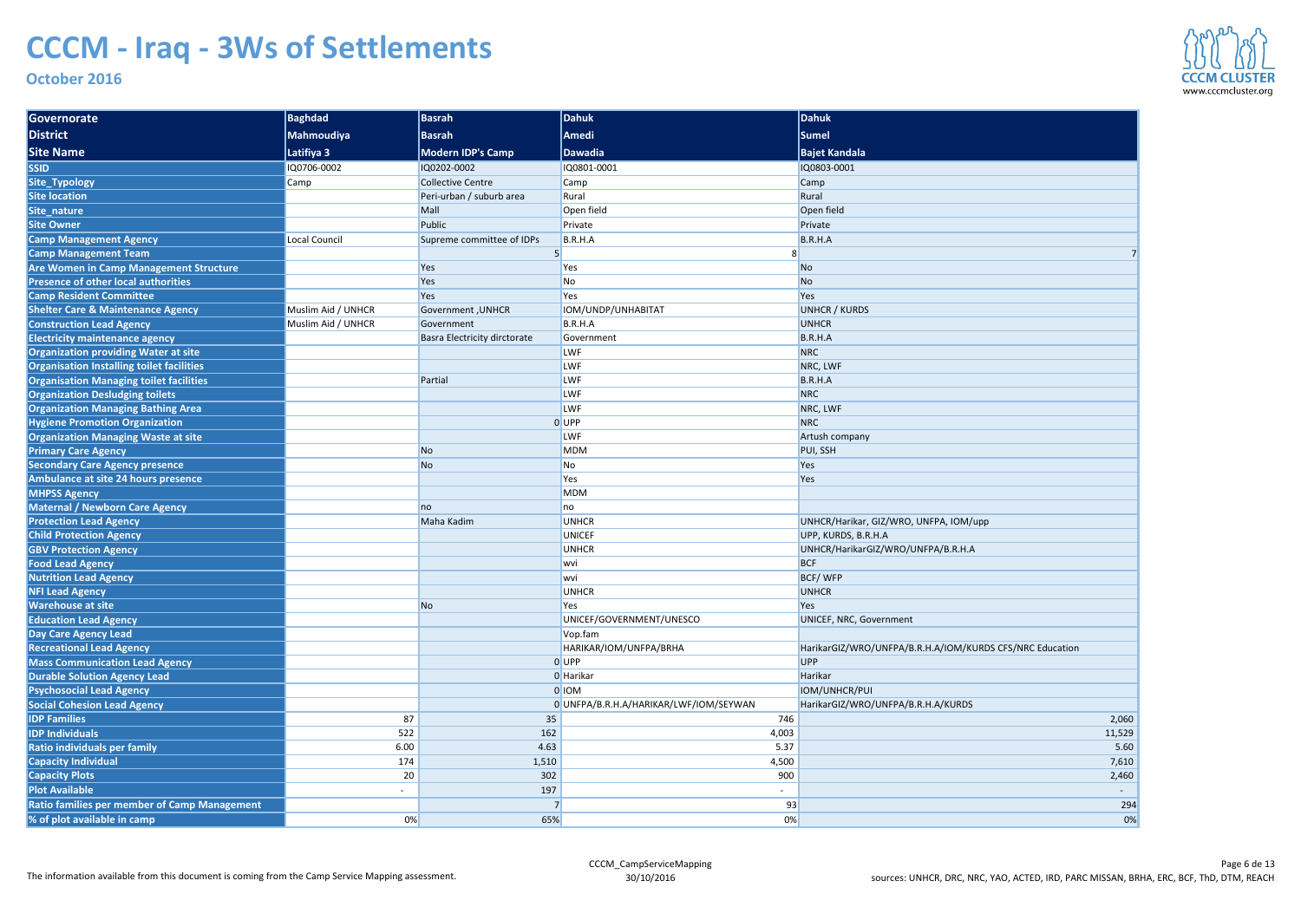| Governorate                                      | <b>Baghdad</b>       | <b>Basrah</b>                | Dahuk                                  | Dahuk                                                    |
|--------------------------------------------------|----------------------|------------------------------|----------------------------------------|----------------------------------------------------------|
| <b>District</b>                                  | <b>Mahmoudiya</b>    | <b>Basrah</b>                | <b>Amedi</b>                           | Sumel                                                    |
| <b>Site Name</b>                                 | Latifiya 3           | <b>Modern IDP's Camp</b>     | <b>Dawadia</b>                         | <b>Bajet Kandala</b>                                     |
| <b>SSID</b>                                      | IQ0706-0002          | IQ0202-0002                  | IQ0801-0001                            | IQ0803-0001                                              |
| Site_Typology                                    | Camp                 | <b>Collective Centre</b>     | Camp                                   | Camp                                                     |
| <b>Site location</b>                             |                      | Peri-urban / suburb area     | Rural                                  | Rural                                                    |
| Site_nature                                      |                      | Mall                         | Open field                             | Open field                                               |
| <b>Site Owner</b>                                |                      | Public                       | Private                                | Private                                                  |
| <b>Camp Management Agency</b>                    | <b>Local Council</b> | Supreme committee of IDPs    | B.R.H.A                                | B.R.H.A                                                  |
| <b>Camp Management Team</b>                      |                      |                              |                                        |                                                          |
| Are Women in Camp Management Structure           |                      | Yes                          | Yes                                    | N <sub>o</sub>                                           |
| <b>Presence of other local authorities</b>       |                      | Yes                          | No                                     | <b>No</b>                                                |
| <b>Camp Resident Committee</b>                   |                      | Yes                          | Yes                                    | Yes                                                      |
| <b>Shelter Care &amp; Maintenance Agency</b>     | Muslim Aid / UNHCR   | <b>Government, UNHCR</b>     | IOM/UNDP/UNHABITAT                     | <b>UNHCR / KURDS</b>                                     |
| <b>Construction Lead Agency</b>                  | Muslim Aid / UNHCR   | Government                   | B.R.H.A                                | <b>UNHCR</b>                                             |
| <b>Electricity maintenance agency</b>            |                      | Basra Electricity dirctorate | Government                             | B.R.H.A                                                  |
| <b>Organization providing Water at site</b>      |                      |                              | <b>LWF</b>                             | <b>NRC</b>                                               |
| <b>Organisation Installing toilet facilities</b> |                      |                              | LWF                                    | NRC, LWF                                                 |
| <b>Organisation Managing toilet facilities</b>   |                      | Partial                      | LWF                                    | B.R.H.A                                                  |
| <b>Organization Desludging toilets</b>           |                      |                              | LWF                                    | <b>NRC</b>                                               |
| <b>Organization Managing Bathing Area</b>        |                      |                              | <b>LWF</b>                             | NRC, LWF                                                 |
| <b>Hygiene Promotion Organization</b>            |                      |                              | 0 UPP                                  | <b>NRC</b>                                               |
| <b>Organization Managing Waste at site</b>       |                      |                              | LWF                                    | Artush company                                           |
| <b>Primary Care Agency</b>                       |                      | No                           | <b>MDM</b>                             | PUI, SSH                                                 |
| <b>Secondary Care Agency presence</b>            |                      | N <sub>o</sub>               | No                                     | Yes                                                      |
| <b>Ambulance at site 24 hours presence</b>       |                      |                              | Yes                                    | Yes                                                      |
| <b>MHPSS Agency</b>                              |                      |                              | <b>MDM</b>                             |                                                          |
| Maternal / Newborn Care Agency                   |                      | no                           | no                                     |                                                          |
| <b>Protection Lead Agency</b>                    |                      | Maha Kadim                   | <b>UNHCR</b>                           | UNHCR/Harikar, GIZ/WRO, UNFPA, IOM/upp                   |
| <b>Child Protection Agency</b>                   |                      |                              | <b>UNICEF</b>                          | UPP, KURDS, B.R.H.A                                      |
| <b>GBV Protection Agency</b>                     |                      |                              | <b>UNHCR</b>                           | UNHCR/HarikarGIZ/WRO/UNFPA/B.R.H.A                       |
| <b>Food Lead Agency</b>                          |                      |                              | wvi                                    | <b>BCF</b>                                               |
| <b>Nutrition Lead Agency</b>                     |                      |                              | wvi                                    | BCF/WFP                                                  |
| <b>NFI Lead Agency</b>                           |                      |                              | <b>UNHCR</b>                           | <b>UNHCR</b>                                             |
| <b>Warehouse at site</b>                         |                      | No                           | Yes                                    | Yes                                                      |
| <b>Education Lead Agency</b>                     |                      |                              | UNICEF/GOVERNMENT/UNESCO               | UNICEF, NRC, Government                                  |
| Day Care Agency Lead                             |                      |                              | Vop.fam                                |                                                          |
| <b>Recreational Lead Agency</b>                  |                      |                              | HARIKAR/IOM/UNFPA/BRHA                 | HarikarGIZ/WRO/UNFPA/B.R.H.A/IOM/KURDS CFS/NRC Education |
| <b>Mass Communication Lead Agency</b>            |                      |                              | 0UPP                                   | UPP                                                      |
| <b>Durable Solution Agency Lead</b>              |                      |                              | 0 Harikar                              | Harikar                                                  |
| <b>Psychosocial Lead Agency</b>                  |                      |                              | 0 IOM                                  | IOM/UNHCR/PUI                                            |
| <b>Social Cohesion Lead Agency</b>               |                      |                              | 0 UNFPA/B.R.H.A/HARIKAR/LWF/IOM/SEYWAN | HarikarGIZ/WRO/UNFPA/B.R.H.A/KURDS                       |
| <b>IDP Families</b>                              | 87                   | 35                           | 746                                    | 2,060                                                    |
| <b>IDP Individuals</b>                           | 522                  | 162                          | 4,003                                  | 11,529                                                   |
| Ratio individuals per family                     | 6.00                 | 4.63                         | 5.37                                   | 5.60                                                     |
| <b>Capacity Individual</b>                       | 174                  | 1,510                        | 4,500                                  | 7,610                                                    |
| <b>Capacity Plots</b>                            | 20                   | 302                          | 900                                    | 2,460                                                    |
| <b>Plot Available</b>                            |                      | 197                          |                                        |                                                          |
| Ratio families per member of Camp Management     |                      |                              | 93                                     | 294                                                      |
| % of plot available in camp                      | 0%                   | 65%                          | 0%                                     | 0%                                                       |



| dala                                           |        |
|------------------------------------------------|--------|
| $\overline{1}$                                 |        |
|                                                |        |
|                                                |        |
|                                                |        |
|                                                |        |
|                                                |        |
|                                                | 7      |
|                                                |        |
|                                                |        |
|                                                |        |
| <b>JRDS</b>                                    |        |
|                                                |        |
|                                                |        |
|                                                |        |
|                                                |        |
|                                                |        |
|                                                |        |
|                                                |        |
|                                                |        |
| pany                                           |        |
|                                                |        |
|                                                |        |
|                                                |        |
|                                                |        |
|                                                |        |
| rikar, GIZ/WRO, UNFPA, IOM/upp                 |        |
| S, B.R.H.A                                     |        |
| rikarGIZ/WRO/UNFPA/B.R.H.A                     |        |
|                                                |        |
|                                                |        |
|                                                |        |
| C, Government                                  |        |
|                                                |        |
| 'WRO/UNFPA/B.R.H.A/IOM/KURDS CFS/NRC Education |        |
|                                                |        |
|                                                |        |
| R/PUI                                          |        |
| WRO/UNFPA/B.R.H.A/KURDS                        |        |
|                                                | 2,060  |
|                                                | 11,529 |
|                                                | 5.60   |
|                                                | 7,610  |
|                                                | 2,460  |
|                                                |        |
|                                                | 294    |
|                                                | 0%     |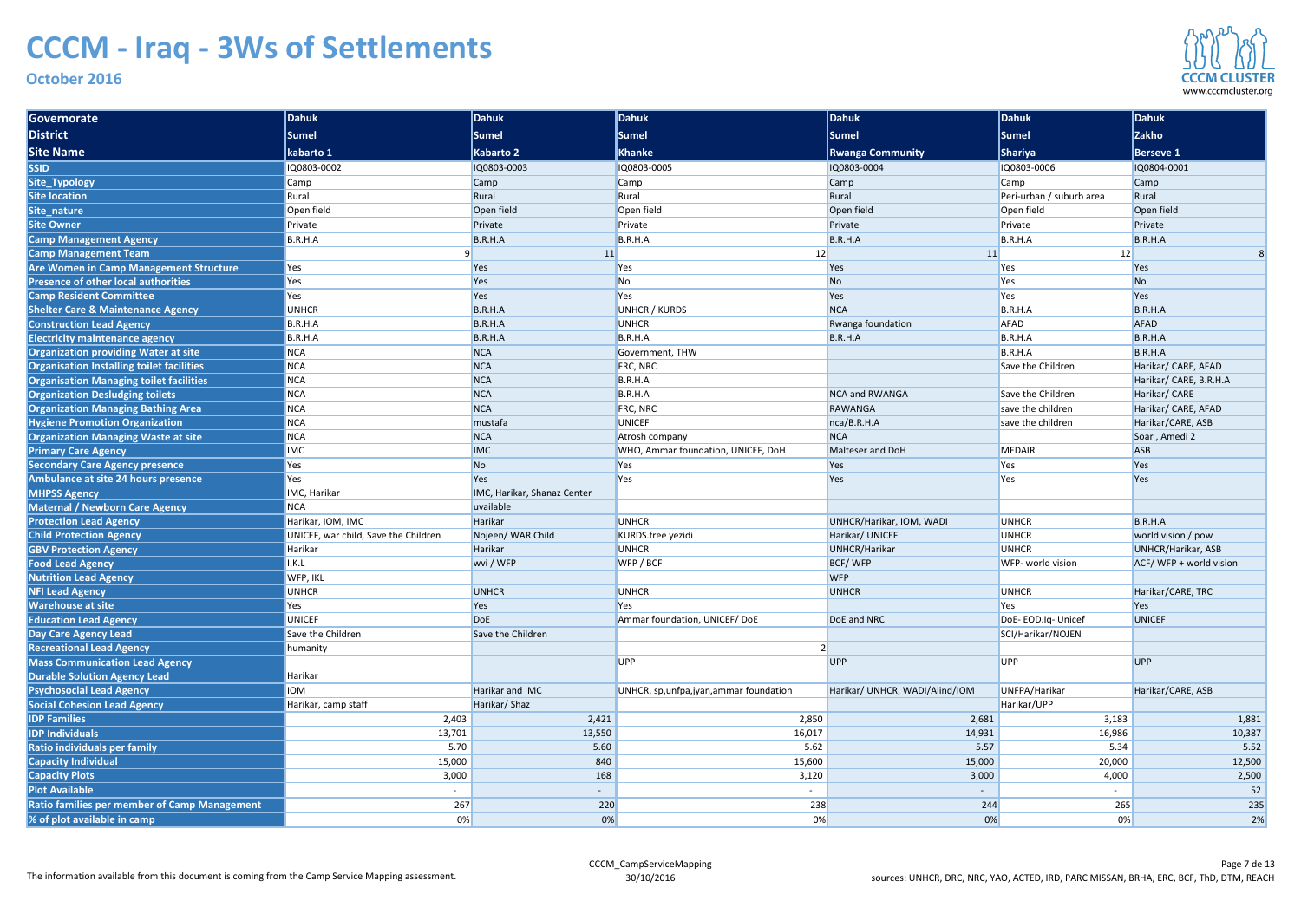| Governorate                                         | Dahuk                                | Dahuk                       | Dahuk                                    | Dahuk                          | Dahuk                    | Dahuk                     |
|-----------------------------------------------------|--------------------------------------|-----------------------------|------------------------------------------|--------------------------------|--------------------------|---------------------------|
| District                                            | <b>Sumel</b>                         | <b>Sumel</b>                | <b>Sumel</b>                             | <b>Sumel</b>                   | Sumel                    | <b>Zakho</b>              |
| <b>Site Name</b>                                    | kabarto 1                            | Kabarto 2                   | <b>Khanke</b>                            | <b>Rwanga Community</b>        | <b>Shariya</b>           | <b>Berseve 1</b>          |
| <b>SSID</b>                                         | IQ0803-0002                          | IQ0803-0003                 | IQ0803-0005                              | IQ0803-0004                    | IQ0803-0006              | IQ0804-0001               |
| Site_Typology                                       | Camp                                 | <b>Camp</b>                 | Camp                                     | Camp                           | Camp                     | <b>Camp</b>               |
| <b>Site location</b>                                | Rural                                | Rural                       | Rural                                    | Rural                          | Peri-urban / suburb area | Rural                     |
| Site_nature                                         | Open field                           | Open field                  | Open field                               | Open field                     | Open field               | Open field                |
| <b>Site Owner</b>                                   | Private                              | Private                     | Private                                  | Private                        | Private                  | Private                   |
| <b>Camp Management Agency</b>                       | B.R.H.A                              | B.R.H.A                     | B.R.H.A                                  | B.R.H.A                        | B.R.H.A                  | B.R.H.A                   |
| <b>Camp Management Team</b>                         |                                      | 11                          | 12                                       | 11                             | 12                       |                           |
| <b>Are Women in Camp Management Structure</b>       | Yes                                  | Yes                         | Yes                                      | Yes                            | Yes                      | Yes                       |
| <b>Presence of other local authorities</b>          | Yes                                  | Yes                         | No                                       | N <sub>o</sub>                 | Yes                      | N <sub>o</sub>            |
| <b>Camp Resident Committee</b>                      | Yes                                  | Yes                         | Yes                                      | Yes                            | Yes                      | Yes                       |
| <b>Shelter Care &amp; Maintenance Agency</b>        | <b>UNHCR</b>                         | B.R.H.A                     | <b>UNHCR / KURDS</b>                     | <b>NCA</b>                     | B.R.H.A                  | B.R.H.A                   |
| <b>Construction Lead Agency</b>                     | B.R.H.A                              | B.R.H.A                     | <b>UNHCR</b>                             | Rwanga foundation              | <b>AFAD</b>              | <b>AFAD</b>               |
| <b>Electricity maintenance agency</b>               | B.R.H.A                              | B.R.H.A                     | B.R.H.A                                  | B.R.H.A                        | B.R.H.A                  | B.R.H.A                   |
| <b>Organization providing Water at site</b>         | <b>NCA</b>                           | <b>NCA</b>                  | Government, THW                          |                                | B.R.H.A                  | B.R.H.A                   |
| Organisation Installing toilet facilities           | <b>NCA</b>                           | <b>NCA</b>                  | FRC, NRC                                 |                                | Save the Children        | Harikar/ CARE, AFAD       |
| <b>Organisation Managing toilet facilities</b>      | <b>NCA</b>                           | <b>NCA</b>                  | B.R.H.A                                  |                                |                          | Harikar/ CARE, B.R.H.A    |
| <b>Organization Desludging toilets</b>              | <b>NCA</b>                           | <b>NCA</b>                  | B.R.H.A                                  | <b>NCA and RWANGA</b>          | Save the Children        | Harikar/ CARE             |
| <b>Organization Managing Bathing Area</b>           | <b>NCA</b>                           | <b>NCA</b>                  | <b>FRC, NRC</b>                          | RAWANGA                        | save the children        | Harikar/ CARE, AFAD       |
| <b>Hygiene Promotion Organization</b>               | <b>NCA</b>                           | mustafa                     | <b>UNICEF</b>                            | nca/B.R.H.A                    | save the children        | Harikar/CARE, ASB         |
| <b>Organization Managing Waste at site</b>          | <b>NCA</b>                           | <b>NCA</b>                  | Atrosh company                           | <b>NCA</b>                     |                          | Soar, Amedi 2             |
| <b>Primary Care Agency</b>                          | <b>IMC</b>                           | <b>IMC</b>                  | WHO, Ammar foundation, UNICEF, DoH       | Malteser and DoH               | <b>MEDAIR</b>            | <b>ASB</b>                |
| <b>Secondary Care Agency presence</b>               | Yes                                  | No                          | Yes                                      | Yes                            | Yes                      | Yes                       |
| Ambulance at site 24 hours presence                 | Yes                                  | Yes                         | Yes                                      | Yes                            | Yes                      | Yes                       |
| <b>MHPSS Agency</b>                                 | IMC, Harikar                         | IMC, Harikar, Shanaz Center |                                          |                                |                          |                           |
| <b>Maternal / Newborn Care Agency</b>               | <b>NCA</b>                           | uvailable                   |                                          |                                |                          |                           |
| <b>Protection Lead Agency</b>                       | Harikar, IOM, IMC                    | Harikar                     | <b>UNHCR</b>                             | UNHCR/Harikar, IOM, WADI       | <b>UNHCR</b>             | B.R.H.A                   |
| <b>Child Protection Agency</b>                      | UNICEF, war child, Save the Children | Nojeen/ WAR Child           | KURDS.free yezidi                        | Harikar/ UNICEF                | <b>UNHCR</b>             | world vision / pow        |
| <b>GBV Protection Agency</b>                        | Harikar                              | Harikar                     | <b>UNHCR</b>                             | UNHCR/Harikar                  | <b>UNHCR</b>             | <b>UNHCR/Harikar, ASB</b> |
| <b>Food Lead Agency</b>                             | I.K.L                                | wvi / WFP                   | WFP / BCF                                | BCF/WFP                        | WFP- world vision        | ACF/WFP + world vision    |
| <b>Nutrition Lead Agency</b>                        | WFP, IKL                             |                             |                                          | <b>WFP</b>                     |                          |                           |
| <b>NFI Lead Agency</b>                              | <b>UNHCR</b>                         | <b>UNHCR</b>                | <b>UNHCR</b>                             | <b>UNHCR</b>                   | <b>UNHCR</b>             | Harikar/CARE, TRC         |
| <b>Warehouse at site</b>                            | Yes                                  | Yes                         | Yes                                      |                                | Yes                      | Yes                       |
| <b>Education Lead Agency</b>                        | <b>UNICEF</b>                        | <b>DoE</b>                  | Ammar foundation, UNICEF/DoE             | DoE and NRC                    | DoE-EOD.Iq-Unicef        | <b>UNICEF</b>             |
| <b>Day Care Agency Lead</b>                         | Save the Children                    | Save the Children           |                                          |                                | SCI/Harikar/NOJEN        |                           |
| <b>Recreational Lead Agency</b>                     | humanity                             |                             |                                          |                                |                          |                           |
| <b>Mass Communication Lead Agency</b>               |                                      |                             | <b>UPP</b>                               | UPP                            | <b>UPP</b>               | <b>UPP</b>                |
| <b>Durable Solution Agency Lead</b>                 | Harikar<br><b>IOM</b>                | Harikar and IMC             | UNHCR, sp, unfpa, jyan, ammar foundation | Harikar/ UNHCR, WADI/Alind/IOM | UNFPA/Harikar            | Harikar/CARE, ASB         |
| <b>Psychosocial Lead Agency</b>                     |                                      |                             |                                          |                                | Harikar/UPP              |                           |
| <b>Social Cohesion Lead Agency</b>                  | Harikar, camp staff                  | Harikar/Shaz                |                                          |                                |                          |                           |
| <b>IDP Families</b><br><b>IDP Individuals</b>       | 2,403<br>13,701                      | 2,421<br>13,550             | 2,850<br>16,017                          | 2,681<br>14,931                | 3,183<br>16,986          | 1,881<br>10,387           |
|                                                     |                                      |                             |                                          |                                |                          |                           |
| <b>Ratio individuals per family</b>                 | 5.70<br>15,000                       | 5.60<br>840                 | 5.62<br>15,600                           | 5.57<br>15,000                 | 5.34<br>20,000           | 5.52<br>12,500            |
| <b>Capacity Individual</b>                          | 3,000                                | 168                         |                                          |                                | 4,000                    |                           |
| <b>Capacity Plots</b>                               |                                      |                             | 3,120                                    | 3,000                          |                          | 2,500                     |
| <b>Plot Available</b>                               |                                      |                             | $\sim$                                   |                                |                          | 52                        |
| <b>Ratio families per member of Camp Management</b> | 267                                  | 220                         | 238                                      | 244                            | 265                      | 235                       |
| % of plot available in camp                         | $0\%$                                | 0%                          | 0%                                       | 0%                             | 0%                       | 2%                        |

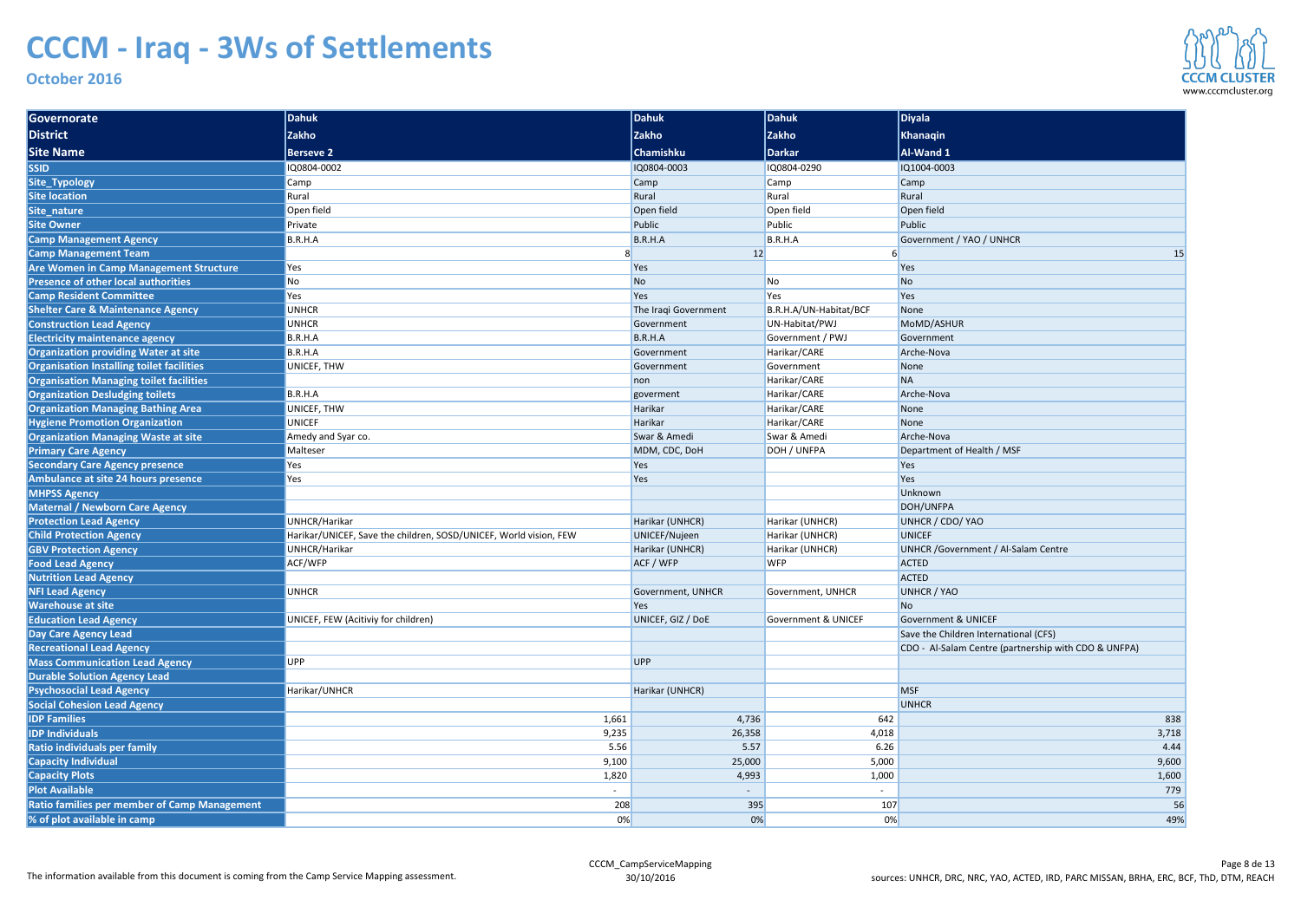| Governorate                                                    | Dahuk                                                             | Dahuk                | Dahuk                          | <b>Diyala</b>                                                                                 |
|----------------------------------------------------------------|-------------------------------------------------------------------|----------------------|--------------------------------|-----------------------------------------------------------------------------------------------|
| <b>District</b>                                                | <b>Zakho</b>                                                      | <b>Zakho</b>         | <b>Zakho</b>                   | Khanaqin                                                                                      |
| <b>Site Name</b>                                               | <b>Berseve 2</b>                                                  | <b>Chamishku</b>     | Darkar                         | Al-Wand 1                                                                                     |
| <b>SSID</b>                                                    | IQ0804-0002                                                       | IQ0804-0003          | IQ0804-0290                    | IQ1004-0003                                                                                   |
| Site_Typology                                                  | Camp                                                              | Camp                 | Camp                           | <b>Camp</b>                                                                                   |
| <b>Site location</b>                                           | Rural                                                             | Rural                | Rural                          | Rural                                                                                         |
| Site_nature                                                    | Open field                                                        | Open field           | Open field                     | Open field                                                                                    |
| <b>Site Owner</b>                                              | Private                                                           | Public               | Public                         | Public                                                                                        |
| <b>Camp Management Agency</b>                                  | B.R.H.A                                                           | B.R.H.A              | B.R.H.A                        | Government / YAO / UNHCR                                                                      |
| <b>Camp Management Team</b>                                    |                                                                   | 12                   |                                | 15                                                                                            |
| <b>Are Women in Camp Management Structure</b>                  | Yes                                                               | Yes                  |                                | Yes                                                                                           |
| <b>Presence of other local authorities</b>                     | N <sub>o</sub>                                                    | <b>No</b>            | No                             | N <sub>o</sub>                                                                                |
| <b>Camp Resident Committee</b>                                 | Yes                                                               | Yes                  | Yes                            | Yes                                                                                           |
| <b>Shelter Care &amp; Maintenance Agency</b>                   | <b>UNHCR</b>                                                      | The Iraqi Government | B.R.H.A/UN-Habitat/BCF         | None                                                                                          |
| <b>Construction Lead Agency</b>                                | <b>UNHCR</b>                                                      | Government           | UN-Habitat/PWJ                 | MoMD/ASHUR                                                                                    |
| <b>Electricity maintenance agency</b>                          | B.R.H.A                                                           | B.R.H.A              | Government / PWJ               | Government                                                                                    |
| <b>Organization providing Water at site</b>                    | B.R.H.A                                                           | Government           | Harikar/CARE                   | Arche-Nova                                                                                    |
| Organisation Installing toilet facilities                      | UNICEF, THW                                                       | Government           | Government                     | None                                                                                          |
| <b>Organisation Managing toilet facilities</b>                 |                                                                   | non                  | Harikar/CARE                   | <b>NA</b>                                                                                     |
| <b>Organization Desludging toilets</b>                         | B.R.H.A                                                           | goverment            | Harikar/CARE                   | Arche-Nova                                                                                    |
| <b>Organization Managing Bathing Area</b>                      | UNICEF, THW                                                       | Harikar              | Harikar/CARE                   | None                                                                                          |
| <b>Hygiene Promotion Organization</b>                          | <b>UNICEF</b>                                                     | Harikar              | Harikar/CARE                   | None                                                                                          |
| <b>Organization Managing Waste at site</b>                     | Amedy and Syar co.                                                | Swar & Amedi         | Swar & Amedi                   | Arche-Nova                                                                                    |
| <b>Primary Care Agency</b>                                     | Malteser                                                          | MDM, CDC, DoH        | DOH / UNFPA                    | Department of Health / MSF                                                                    |
| <b>Secondary Care Agency presence</b>                          | Yes                                                               | Yes                  |                                | Yes                                                                                           |
| Ambulance at site 24 hours presence                            | Yes                                                               | Yes                  |                                | Yes                                                                                           |
| <b>MHPSS Agency</b>                                            |                                                                   |                      |                                | Unknown                                                                                       |
| <b>Maternal / Newborn Care Agency</b>                          |                                                                   |                      |                                | DOH/UNFPA                                                                                     |
| <b>Protection Lead Agency</b>                                  | UNHCR/Harikar                                                     | Harikar (UNHCR)      | Harikar (UNHCR)                | UNHCR / CDO/ YAO                                                                              |
| <b>Child Protection Agency</b>                                 | Harikar/UNICEF, Save the children, SOSD/UNICEF, World vision, FEW | UNICEF/Nujeen        | Harikar (UNHCR)                | <b>UNICEF</b>                                                                                 |
| <b>GBV Protection Agency</b>                                   | UNHCR/Harikar                                                     | Harikar (UNHCR)      | Harikar (UNHCR)                | <b>UNHCR</b> / Government / Al-Salam Centre                                                   |
| <b>Food Lead Agency</b>                                        | ACF/WFP                                                           | ACF / WFP            | <b>WFP</b>                     | <b>ACTED</b>                                                                                  |
| <b>Nutrition Lead Agency</b>                                   |                                                                   |                      |                                | <b>ACTED</b>                                                                                  |
| <b>NFI Lead Agency</b>                                         | <b>UNHCR</b>                                                      | Government, UNHCR    | Government, UNHCR              | <b>UNHCR / YAO</b>                                                                            |
| <b>Warehouse at site</b>                                       |                                                                   | Yes                  |                                | N <sub>o</sub>                                                                                |
| <b>Education Lead Agency</b>                                   | UNICEF, FEW (Acitiviy for children)                               | UNICEF, GIZ / DOE    | <b>Government &amp; UNICEF</b> | <b>Government &amp; UNICEF</b>                                                                |
| <b>Day Care Agency Lead</b><br><b>Recreational Lead Agency</b> |                                                                   |                      |                                | Save the Children International (CFS)<br>CDO - Al-Salam Centre (partnership with CDO & UNFPA) |
| <b>Mass Communication Lead Agency</b>                          | <b>UPP</b>                                                        | <b>UPP</b>           |                                |                                                                                               |
| <b>Durable Solution Agency Lead</b>                            |                                                                   |                      |                                |                                                                                               |
| <b>Psychosocial Lead Agency</b>                                | Harikar/UNHCR                                                     | Harikar (UNHCR)      |                                | <b>MSF</b>                                                                                    |
| <b>Social Cohesion Lead Agency</b>                             |                                                                   |                      |                                | <b>UNHCR</b>                                                                                  |
| <b>IDP Families</b>                                            | 1,661                                                             | 4,736                | 642                            | 838                                                                                           |
| <b>IDP Individuals</b>                                         | 9,235                                                             | 26,358               | 4,018                          | 3,718                                                                                         |
| Ratio individuals per family                                   | 5.56                                                              | 5.57                 | 6.26                           | 4.44                                                                                          |
| <b>Capacity Individual</b>                                     | 9,100                                                             | 25,000               | 5,000                          | 9,600                                                                                         |
| <b>Capacity Plots</b>                                          | 1,820                                                             | 4,993                | 1,000                          | 1,600                                                                                         |
| <b>Plot Available</b>                                          | $\overline{\phantom{a}}$                                          |                      |                                | 779                                                                                           |
| <b>Ratio families per member of Camp Management</b>            | 208                                                               | 395                  | 107                            | 56                                                                                            |
| % of plot available in camp                                    | 0%                                                                | 0%                   | 0%                             | 49%                                                                                           |
|                                                                |                                                                   |                      |                                |                                                                                               |

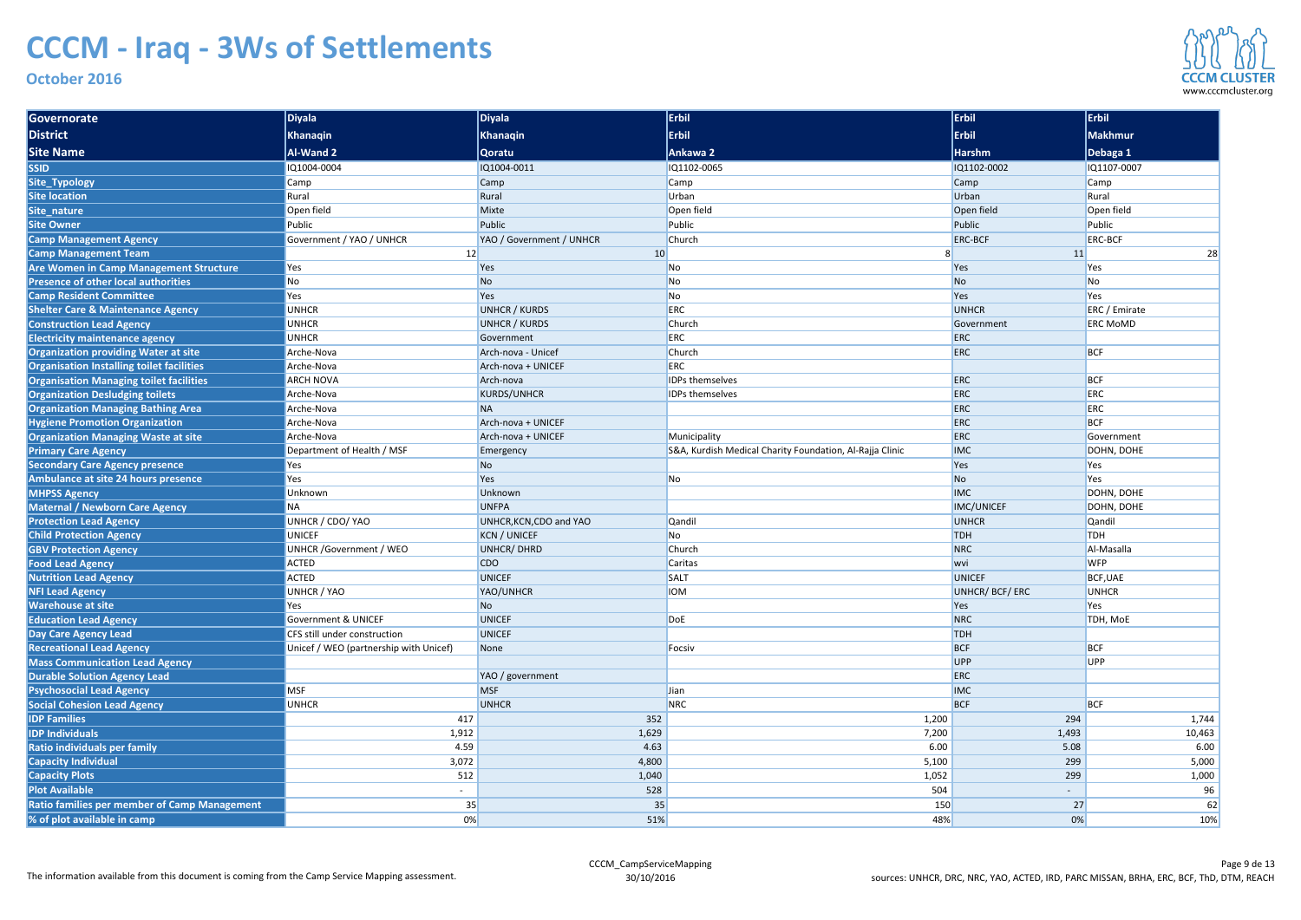| Governorate                                         | <b>Diyala</b>                          | Diyala                   | Erbil                                                    | <b>Erbil</b>      | <b>Erbil</b>         |
|-----------------------------------------------------|----------------------------------------|--------------------------|----------------------------------------------------------|-------------------|----------------------|
| <b>District</b>                                     | <b>Khanaqin</b>                        | Khanaqin                 | <b>Erbil</b>                                             | <b>Erbil</b>      | Makhmur              |
| <b>Site Name</b>                                    | <b>Al-Wand 2</b>                       | <b>Qoratu</b>            | Ankawa 2                                                 | <b>Harshm</b>     | Debaga 1             |
| <b>SSID</b>                                         | IQ1004-0004                            | IQ1004-0011              | IQ1102-0065                                              | IQ1102-0002       | IQ1107-0007          |
| Site_Typology                                       | Camp                                   | <b>Camp</b>              | Camp                                                     | Camp              | Camp                 |
| Site location                                       | Rural                                  | Rural                    | Urban                                                    | Urban             | Rural                |
| Site_nature                                         | Open field                             | Mixte                    | Open field                                               | Open field        | Open field           |
| <b>Site Owner</b>                                   | Public                                 | Public                   | Public                                                   | Public            | Public               |
| <b>Camp Management Agency</b>                       | Government / YAO / UNHCR               | YAO / Government / UNHCR | Church                                                   | <b>ERC-BCF</b>    | <b>ERC-BCF</b>       |
| <b>Camp Management Team</b>                         | 12                                     | 10                       |                                                          | 11                | 28                   |
| <b>Are Women in Camp Management Structure</b>       | Yes                                    | Yes                      | No                                                       | Yes               | Yes                  |
| Presence of other local authorities                 | No                                     | No                       | No                                                       | N <sub>o</sub>    | No                   |
| <b>Camp Resident Committee</b>                      | Yes                                    | Yes                      | No                                                       | Yes               | Yes                  |
| <b>Shelter Care &amp; Maintenance Agency</b>        | <b>UNHCR</b>                           | <b>UNHCR / KURDS</b>     | <b>ERC</b>                                               | <b>UNHCR</b>      | <b>ERC</b> / Emirate |
| <b>Construction Lead Agency</b>                     | <b>UNHCR</b>                           | <b>UNHCR / KURDS</b>     | Church                                                   | Government        | <b>ERC MoMD</b>      |
| <b>Electricity maintenance agency</b>               | <b>UNHCR</b>                           | Government               | ERC                                                      | ERC               |                      |
| <b>Organization providing Water at site</b>         | Arche-Nova                             | Arch-nova - Unicef       | Church                                                   | ERC               | <b>BCF</b>           |
| Organisation Installing toilet facilities           | Arche-Nova                             | Arch-nova + UNICEF       | <b>ERC</b>                                               |                   |                      |
| <b>Organisation Managing toilet facilities</b>      | <b>ARCH NOVA</b>                       | Arch-nova                | <b>IDPs themselves</b>                                   | ERC               | <b>BCF</b>           |
| <b>Organization Desludging toilets</b>              | Arche-Nova                             | <b>KURDS/UNHCR</b>       | <b>IDPs themselves</b>                                   | ERC               | <b>ERC</b>           |
| <b>Organization Managing Bathing Area</b>           | Arche-Nova                             | <b>NA</b>                |                                                          | ERC               | <b>ERC</b>           |
| <b>Hygiene Promotion Organization</b>               | Arche-Nova                             | Arch-nova + UNICEF       |                                                          | ERC               | <b>BCF</b>           |
| <b>Organization Managing Waste at site</b>          | Arche-Nova                             | Arch-nova + UNICEF       | Municipality                                             | ERC               | Government           |
| <b>Primary Care Agency</b>                          | Department of Health / MSF             | Emergency                | S&A, Kurdish Medical Charity Foundation, Al-Rajja Clinic | <b>IMC</b>        | DOHN, DOHE           |
| <b>Secondary Care Agency presence</b>               | Yes                                    | No                       |                                                          | <b>Yes</b>        | Yes                  |
| Ambulance at site 24 hours presence                 | Yes                                    | Yes                      | No                                                       | <b>No</b>         | Yes                  |
| <b>MHPSS Agency</b>                                 | Unknown                                | Unknown                  |                                                          | <b>IMC</b>        | DOHN, DOHE           |
| <b>Maternal / Newborn Care Agency</b>               | <b>NA</b>                              | <b>UNFPA</b>             |                                                          | <b>IMC/UNICEF</b> | DOHN, DOHE           |
| <b>Protection Lead Agency</b>                       | UNHCR / CDO/ YAO                       | UNHCR, KCN, CDO and YAO  | Qandil                                                   | <b>UNHCR</b>      | <b>Qandil</b>        |
| <b>Child Protection Agency</b>                      | UNICEF                                 | <b>KCN / UNICEF</b>      | No                                                       | <b>TDH</b>        | <b>TDH</b>           |
| <b>GBV Protection Agency</b>                        | <b>UNHCR</b> / Government / WEO        | <b>UNHCR/DHRD</b>        | Church                                                   | <b>NRC</b>        | Al-Masalla           |
| <b>Food Lead Agency</b>                             | ACTED                                  | CDO                      | Caritas                                                  | <b>wvi</b>        | <b>WFP</b>           |
| <b>Nutrition Lead Agency</b>                        | ACTED                                  | <b>UNICEF</b>            | SALT                                                     | <b>UNICEF</b>     | BCF, UAE             |
| <b>NFI Lead Agency</b>                              | UNHCR / YAO                            | YAO/UNHCR                | <b>IOM</b>                                               | UNHCR/BCF/ERC     | <b>UNHCR</b>         |
| <b>Warehouse at site</b>                            | Yes                                    | No                       |                                                          | <b>Yes</b>        | Yes                  |
| <b>Education Lead Agency</b>                        | <b>Government &amp; UNICEF</b>         | <b>UNICEF</b>            | DoE                                                      | <b>NRC</b>        | TDH, MoE             |
| Day Care Agency Lead                                | CFS still under construction           | <b>UNICEF</b>            |                                                          | <b>TDH</b>        |                      |
| <b>Recreational Lead Agency</b>                     | Unicef / WEO (partnership with Unicef) | None                     | Focsiv                                                   | <b>BCF</b>        | <b>BCF</b>           |
| <b>Mass Communication Lead Agency</b>               |                                        |                          |                                                          | UPP               | <b>UPP</b>           |
| <b>Durable Solution Agency Lead</b>                 |                                        | YAO / government         |                                                          | ERC               |                      |
| <b>Psychosocial Lead Agency</b>                     | <b>MSF</b>                             | <b>MSF</b>               | Jian                                                     | <b>IMC</b>        |                      |
| <b>Social Cohesion Lead Agency</b>                  | <b>UNHCR</b>                           | <b>UNHCR</b>             | <b>NRC</b>                                               | <b>BCF</b>        | <b>BCF</b>           |
| <b>IDP Families</b>                                 | 417                                    | 352                      | 1,200                                                    | 294               | 1,744                |
| <b>IDP Individuals</b>                              | 1,912                                  | 1,629                    | 7,200                                                    | 1,493             | 10,463               |
| Ratio individuals per family                        | 4.59                                   | 4.63                     | 6.00                                                     | 5.08              | 6.00                 |
| <b>Capacity Individual</b>                          | 3,072                                  | 4,800                    | 5,100                                                    | 299               | 5,000                |
| <b>Capacity Plots</b>                               | 512                                    | 1,040                    | 1,052                                                    | 299               | 1,000                |
| <b>Plot Available</b>                               | $\sim$                                 | 528                      | 504                                                      |                   | $96 \mid$            |
| <b>Ratio families per member of Camp Management</b> | 35                                     | 35                       | 150                                                      | 27                | 62                   |
| % of plot available in camp                         | 0%                                     | 51%                      | 48%                                                      | 0%                | 10%                  |

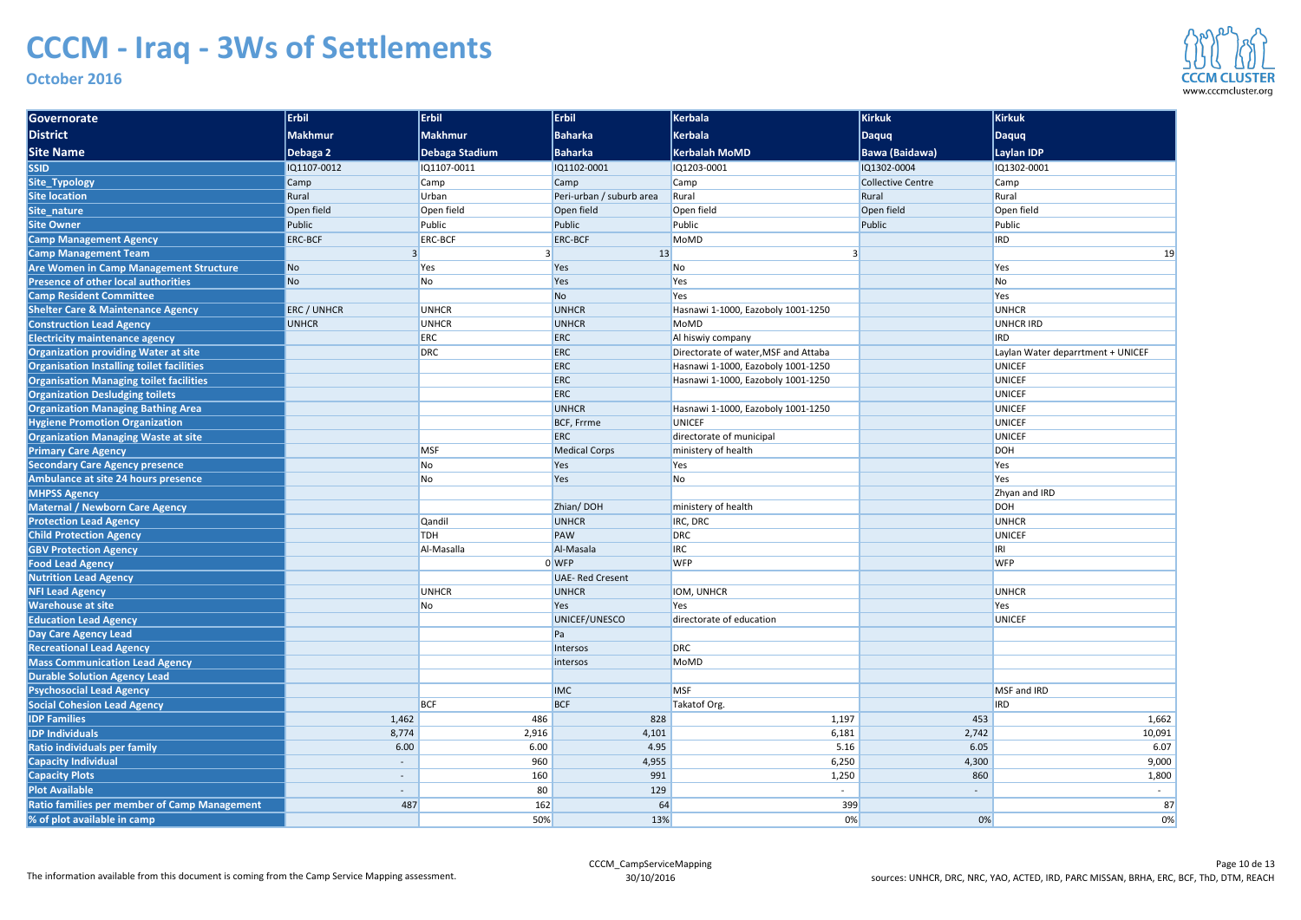| Governorate                                              | $ $ Erbil                | <b>Erbil</b>   | Erbil                    | Kerbala                              | <b>Kirkuk</b>                    | Kirkuk                            |  |
|----------------------------------------------------------|--------------------------|----------------|--------------------------|--------------------------------------|----------------------------------|-----------------------------------|--|
| District                                                 | Makhmur                  | Makhmur        | <b>Baharka</b>           | <b>Kerbala</b>                       | Daquq                            | Daquq                             |  |
| <b>Site Name</b>                                         | Debaga 2                 | Debaga Stadium | <b>Baharka</b>           | <b>Kerbalah MoMD</b>                 | <b>Bawa (Baidawa)</b>            | <b>Laylan IDP</b>                 |  |
| <b>SSID</b>                                              | IQ1107-0012              | IQ1107-0011    | IQ1102-0001              | IQ1203-0001                          | IQ1302-0004                      | IQ1302-0001                       |  |
| Site_Typology                                            | Camp                     | Camp           | Camp                     | Camp                                 | <b>Collective Centre</b><br>Camp |                                   |  |
| <b>Site location</b>                                     | Rural                    | Urban          | Peri-urban / suburb area | Rural                                | Rural                            | Rural                             |  |
| Site_nature                                              | Open field               | Open field     | Open field               | Open field                           | Open field                       | Open field                        |  |
| <b>Site Owner</b>                                        | Public                   | Public         | Public                   | Public                               | Public                           | Public                            |  |
| <b>Camp Management Agency</b>                            | <b>ERC-BCF</b>           | <b>ERC-BCF</b> | <b>ERC-BCF</b>           | MoMD                                 |                                  | <b>IRD</b>                        |  |
| <b>Camp Management Team</b>                              |                          |                | 13                       |                                      |                                  | 19                                |  |
| <b>Are Women in Camp Management Structure</b>            | N <sub>o</sub>           | Yes            | Yes                      | <b>No</b>                            |                                  | Yes                               |  |
| <b>Presence of other local authorities</b>               | N <sub>o</sub>           | No             | Yes                      | <b>Yes</b>                           |                                  | No                                |  |
| <b>Camp Resident Committee</b>                           |                          |                | No                       | <b>Yes</b>                           |                                  | Yes                               |  |
| <b>Shelter Care &amp; Maintenance Agency</b>             | <b>ERC / UNHCR</b>       | <b>UNHCR</b>   | <b>UNHCR</b>             | Hasnawi 1-1000, Eazoboly 1001-1250   |                                  | <b>UNHCR</b>                      |  |
| <b>Construction Lead Agency</b>                          | <b>UNHCR</b>             | <b>UNHCR</b>   | <b>UNHCR</b>             | MoMD                                 |                                  | <b>UNHCR IRD</b>                  |  |
| <b>Electricity maintenance agency</b>                    |                          | <b>ERC</b>     | <b>ERC</b>               | Al hiswiy company                    |                                  | <b>IRD</b>                        |  |
| <b>Organization providing Water at site</b>              |                          | <b>DRC</b>     | <b>ERC</b>               | Directorate of water, MSF and Attaba |                                  | Laylan Water deparrtment + UNICEF |  |
| <b>Organisation Installing toilet facilities</b>         |                          |                | <b>ERC</b>               | Hasnawi 1-1000, Eazoboly 1001-1250   |                                  | <b>UNICEF</b>                     |  |
| <b>Organisation Managing toilet facilities</b>           |                          |                | <b>ERC</b>               | Hasnawi 1-1000, Eazoboly 1001-1250   |                                  | <b>UNICEF</b>                     |  |
| <b>Organization Desludging toilets</b>                   |                          |                | <b>ERC</b>               |                                      |                                  | <b>UNICEF</b>                     |  |
| <b>Organization Managing Bathing Area</b>                |                          |                | <b>UNHCR</b>             | Hasnawi 1-1000, Eazoboly 1001-1250   |                                  | <b>UNICEF</b>                     |  |
| <b>Hygiene Promotion Organization</b>                    |                          |                | <b>BCF, Frrme</b>        | <b>UNICEF</b>                        |                                  | <b>UNICEF</b>                     |  |
| <b>Organization Managing Waste at site</b>               |                          |                | <b>ERC</b>               | directorate of municipal             |                                  | <b>UNICEF</b>                     |  |
| <b>Primary Care Agency</b>                               |                          | <b>MSF</b>     | <b>Medical Corps</b>     | ministery of health                  |                                  | <b>DOH</b>                        |  |
| <b>Secondary Care Agency presence</b>                    |                          | No             | Yes                      | Yes                                  |                                  | Yes                               |  |
| Ambulance at site 24 hours presence                      |                          | No             | Yes                      | N <sub>o</sub>                       |                                  | Yes                               |  |
| <b>MHPSS Agency</b>                                      |                          |                |                          |                                      |                                  | Zhyan and IRD                     |  |
| Maternal / Newborn Care Agency                           |                          |                | Zhian/DOH                | ministery of health                  |                                  | <b>DOH</b>                        |  |
| <b>Protection Lead Agency</b>                            |                          | <b>Qandil</b>  | <b>UNHCR</b>             | IRC, DRC                             |                                  | <b>UNHCR</b>                      |  |
| <b>Child Protection Agency</b>                           |                          | <b>TDH</b>     | <b>PAW</b>               | DRC                                  |                                  | <b>UNICEF</b>                     |  |
| <b>GBV Protection Agency</b>                             |                          | Al-Masalla     | Al-Masala                | <b>IRC</b>                           |                                  | IRI                               |  |
| <b>Food Lead Agency</b>                                  |                          |                | $0$ WFP                  | <b>WFP</b>                           |                                  | <b>WFP</b>                        |  |
| <b>Nutrition Lead Agency</b>                             |                          |                | <b>UAE-Red Cresent</b>   |                                      |                                  |                                   |  |
| <b>NFI Lead Agency</b>                                   |                          | <b>UNHCR</b>   | <b>UNHCR</b><br>Yes      | IOM, UNHCR<br><b>Yes</b>             |                                  | <b>UNHCR</b><br>Yes               |  |
| <b>Warehouse at site</b><br><b>Education Lead Agency</b> |                          | No             | UNICEF/UNESCO            | directorate of education             |                                  | <b>UNICEF</b>                     |  |
| Day Care Agency Lead                                     |                          |                | Pa                       |                                      |                                  |                                   |  |
| <b>Recreational Lead Agency</b>                          |                          |                | Intersos                 | DRC                                  |                                  |                                   |  |
| <b>Mass Communication Lead Agency</b>                    |                          |                | intersos                 | MoMD                                 |                                  |                                   |  |
| <b>Durable Solution Agency Lead</b>                      |                          |                |                          |                                      |                                  |                                   |  |
| <b>Psychosocial Lead Agency</b>                          |                          |                | <b>IMC</b>               | <b>MSF</b>                           |                                  | MSF and IRD                       |  |
| <b>Social Cohesion Lead Agency</b>                       |                          | <b>BCF</b>     | <b>BCF</b>               | Takatof Org.                         |                                  | <b>IRD</b>                        |  |
| <b>IDP Families</b>                                      | 1,462                    | 486            | 828                      | 1,197                                | 453                              | 1,662                             |  |
| <b>IDP Individuals</b>                                   | 8,774                    | 2,916          | 4,101                    | 6,181                                | 2,742                            | 10,091                            |  |
| Ratio individuals per family                             | 6.00                     | 6.00           | 4.95                     | 5.16                                 | 6.05                             | 6.07                              |  |
| <b>Capacity Individual</b>                               | $\overline{\phantom{a}}$ | 960            | 4,955                    | 6,250                                | 4,300                            | 9,000                             |  |
| <b>Capacity Plots</b>                                    | $\overline{\phantom{a}}$ | 160            | 991                      | 1,250                                | 860                              | 1,800                             |  |
| <b>Plot Available</b>                                    | $\overline{\phantom{a}}$ | 80             | 129                      |                                      |                                  |                                   |  |
| <b>Ratio families per member of Camp Management</b>      | 487                      | 162            | 64                       | 399                                  |                                  | 87                                |  |
| % of plot available in camp                              |                          | 50%            | 13%                      | 0%                                   | 0%                               | 0%                                |  |
|                                                          |                          |                |                          |                                      |                                  |                                   |  |

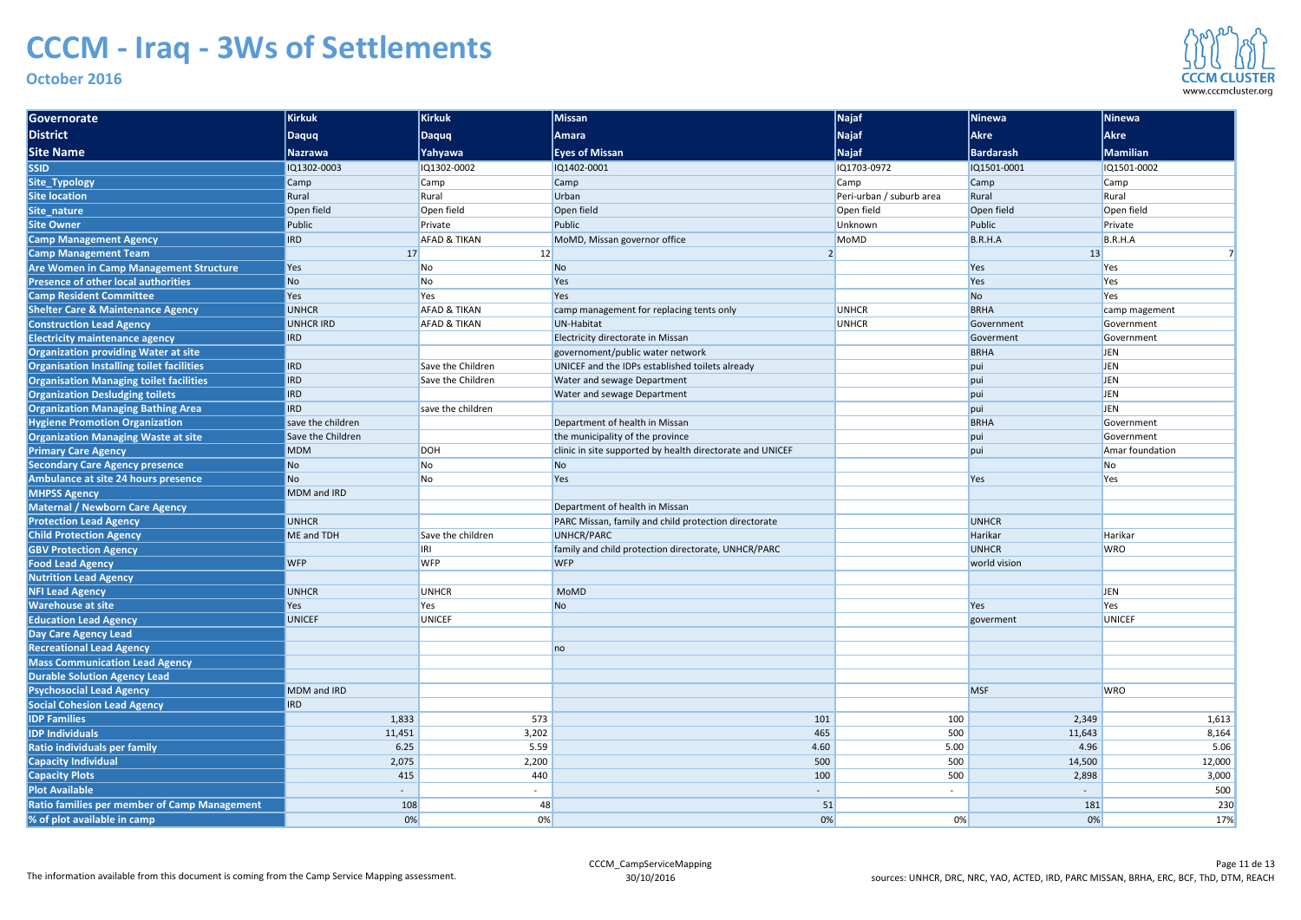| <b>Governorate</b>                                  | <b>Kirkuk</b>     | <b>Kirkuk</b>           | <b>Missan</b>                                             | $\sqrt{\mathsf{Najaf}}$  | Ninewa         | <b>Ninewa</b>   |
|-----------------------------------------------------|-------------------|-------------------------|-----------------------------------------------------------|--------------------------|----------------|-----------------|
| <b>District</b>                                     | <b>Daquq</b>      | Daquq                   | Amara                                                     | <b>Najaf</b>             | <b>Akre</b>    | <b>Akre</b>     |
| <b>Site Name</b>                                    | <b>Nazrawa</b>    | Yahyawa                 | <b>Eyes of Missan</b>                                     | <b>Najaf</b>             | Bardarash      | <b>Mamilian</b> |
| <b>SSID</b>                                         | IQ1302-0003       | IQ1302-0002             | IQ1402-0001                                               | IQ1703-0972              | IQ1501-0001    | IQ1501-0002     |
| Site_Typology                                       | Camp              | Camp                    | Camp                                                      | Camp                     | Camp           | <b>Camp</b>     |
| Site location                                       | Rural             | Rural                   | Urban                                                     | Peri-urban / suburb area | Rural          | Rural           |
| Site_nature                                         | Open field        | Open field              | Open field                                                | Open field               | Open field     | Open field      |
| <b>Site Owner</b>                                   | Public            | Private                 | Public                                                    | Unknown                  | Public         | Private         |
| <b>Camp Management Agency</b>                       | <b>IRD</b>        | <b>AFAD &amp; TIKAN</b> | MoMD, Missan governor office                              | MoMD                     | B.R.H.A        | B.R.H.A         |
| <b>Camp Management Team</b>                         | 17                | 12                      |                                                           |                          | 13             |                 |
| <b>Are Women in Camp Management Structure</b>       | Yes               | No                      | N <sub>o</sub>                                            |                          | Yes            | Yes             |
| <b>Presence of other local authorities</b>          | No                | No                      | Yes                                                       |                          | Yes            | Yes             |
| <b>Camp Resident Committee</b>                      | Yes               | Yes                     | Yes                                                       |                          | N <sub>o</sub> | Yes             |
| <b>Shelter Care &amp; Maintenance Agency</b>        | <b>UNHCR</b>      | <b>AFAD &amp; TIKAN</b> | camp management for replacing tents only                  | <b>UNHCR</b>             | BRHA           | camp magement   |
| <b>Construction Lead Agency</b>                     | <b>UNHCR IRD</b>  | <b>AFAD &amp; TIKAN</b> | <b>UN-Habitat</b>                                         | <b>UNHCR</b>             | Government     | Government      |
| <b>Electricity maintenance agency</b>               | <b>IRD</b>        |                         | Electricity directorate in Missan                         |                          | Goverment      | Government      |
| <b>Organization providing Water at site</b>         |                   |                         | governoment/public water network                          |                          | BRHA           | <b>JEN</b>      |
| Organisation Installing toilet facilities           | <b>IRD</b>        | Save the Children       | UNICEF and the IDPs established toilets already           |                          | pui            | <b>JEN</b>      |
| <b>Organisation Managing toilet facilities</b>      | <b>IRD</b>        | Save the Children       | Water and sewage Department                               |                          | pui            | <b>JEN</b>      |
| <b>Organization Desludging toilets</b>              | <b>IRD</b>        |                         | Water and sewage Department                               |                          | pui            | <b>JEN</b>      |
| <b>Organization Managing Bathing Area</b>           | <b>IRD</b>        | save the children       |                                                           |                          | pui            | <b>JEN</b>      |
| <b>Hygiene Promotion Organization</b>               | save the children |                         | Department of health in Missan                            |                          | BRHA           | Government      |
| <b>Organization Managing Waste at site</b>          | Save the Children |                         | the municipality of the province                          |                          | pui            | Government      |
| <b>Primary Care Agency</b>                          | <b>MDM</b>        | DOH                     | clinic in site supported by health directorate and UNICEF |                          | pui            | Amar foundation |
| <b>Secondary Care Agency presence</b>               | No                | No                      | No                                                        |                          |                | No              |
| Ambulance at site 24 hours presence                 | No                | No                      | Yes                                                       |                          | Yes            | Yes             |
| <b>MHPSS Agency</b>                                 | MDM and IRD       |                         |                                                           |                          |                |                 |
| <b>Maternal / Newborn Care Agency</b>               |                   |                         | Department of health in Missan                            |                          |                |                 |
| <b>Protection Lead Agency</b>                       | <b>UNHCR</b>      |                         | PARC Missan, family and child protection directorate      |                          | <b>UNHCR</b>   |                 |
| <b>Child Protection Agency</b>                      | ME and TDH        | Save the children       | UNHCR/PARC                                                |                          | Harikar        | Harikar         |
| <b>GBV Protection Agency</b>                        |                   | IRI                     | family and child protection directorate, UNHCR/PARC       |                          | <b>UNHCR</b>   | <b>WRO</b>      |
| <b>Food Lead Agency</b>                             | <b>WFP</b>        | <b>WFP</b>              | <b>WFP</b>                                                |                          | world vision   |                 |
| <b>Nutrition Lead Agency</b>                        |                   |                         |                                                           |                          |                |                 |
| <b>NFI Lead Agency</b>                              | <b>UNHCR</b>      | <b>UNHCR</b>            | MoMD                                                      |                          |                | JEN             |
| <b>Warehouse at site</b>                            | Yes               | Yes                     | N <sub>o</sub>                                            |                          | Yes            | Yes             |
| <b>Education Lead Agency</b>                        | <b>UNICEF</b>     | <b>UNICEF</b>           |                                                           |                          | goverment      | <b>UNICEF</b>   |
| Day Care Agency Lead                                |                   |                         |                                                           |                          |                |                 |
| <b>Recreational Lead Agency</b>                     |                   |                         | no                                                        |                          |                |                 |
| <b>Mass Communication Lead Agency</b>               |                   |                         |                                                           |                          |                |                 |
| <b>Durable Solution Agency Lead</b>                 |                   |                         |                                                           |                          |                |                 |
| <b>Psychosocial Lead Agency</b>                     | MDM and IRD       |                         |                                                           |                          | <b>MSF</b>     | <b>WRO</b>      |
| <b>Social Cohesion Lead Agency</b>                  | IRD               |                         |                                                           |                          |                |                 |
| <b>IDP Families</b>                                 | 1,833             | 573                     | 101                                                       | 100                      | 2,349          | 1,613           |
| <b>IDP Individuals</b>                              | 11,451            | 3,202                   | 465                                                       | 500                      | 11,643         | 8,164           |
| Ratio individuals per family                        | 6.25              | 5.59                    | 4.60                                                      | 5.00                     | 4.96           | 5.06            |
| Capacity Individual                                 | 2,075             | 2,200                   | 500                                                       | 500                      | 14,500         | 12,000          |
| <b>Capacity Plots</b>                               | 415               | 440                     | 100                                                       | 500                      | 2,898          | 3,000           |
| <b>Plot Available</b>                               |                   |                         |                                                           |                          |                | 500             |
| <b>Ratio families per member of Camp Management</b> | 108               | 48                      | 51                                                        |                          | 181            | 230             |
| % of plot available in camp                         | $0\%$             | 0%                      | 0%                                                        | 0%                       | 0%             | 17%             |

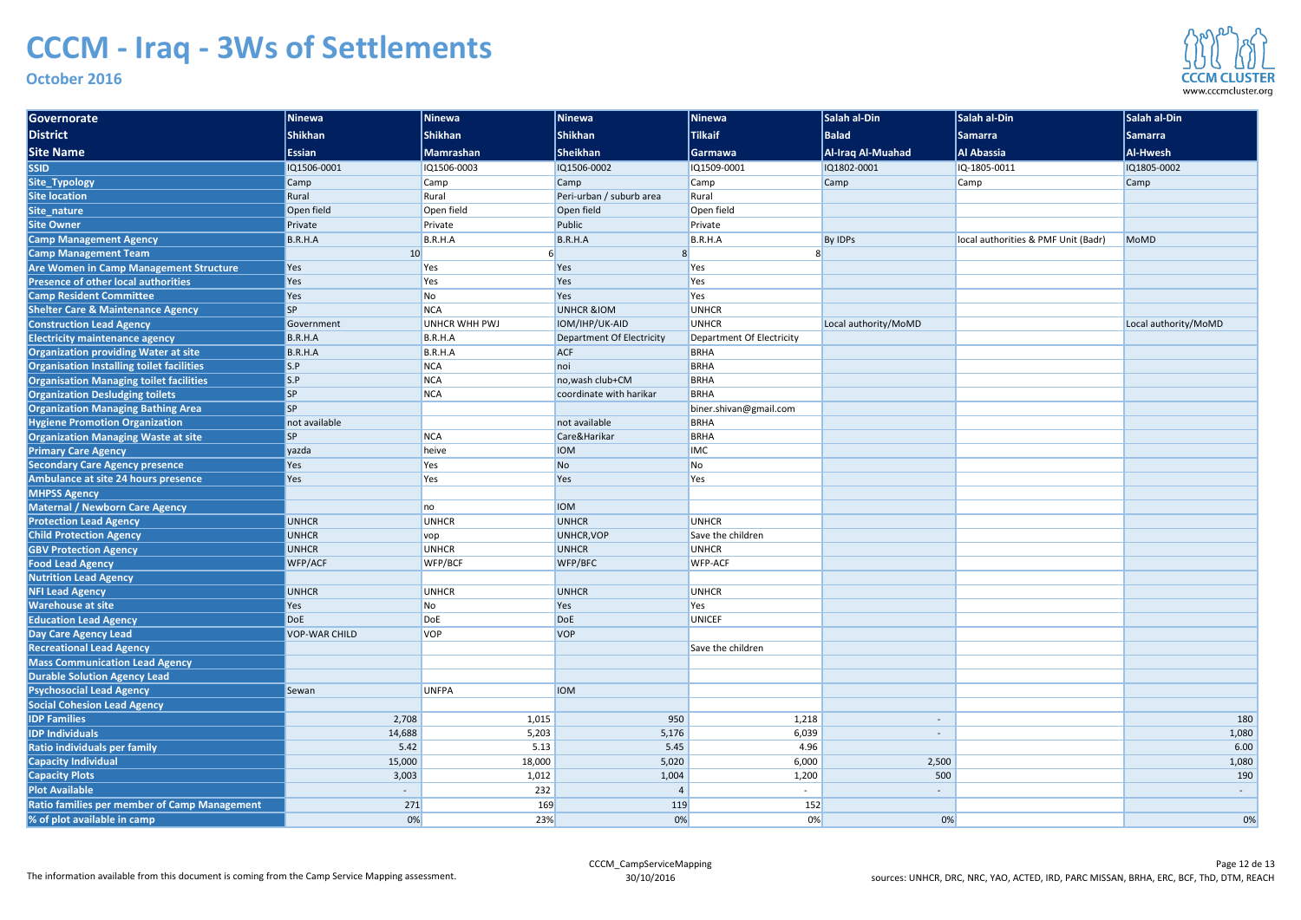| Governorate                                         | <b>Ninewa</b>            | Ninewa               | Ninewa                    | Ninewa                    | Salah al-Din         | Salah al-Din                        | Salah al-Din         |
|-----------------------------------------------------|--------------------------|----------------------|---------------------------|---------------------------|----------------------|-------------------------------------|----------------------|
| District                                            | <b>Shikhan</b>           | <b>Shikhan</b>       | <b>Shikhan</b>            | <b>Tilkaif</b>            | <b>Balad</b>         | <b>Samarra</b>                      | <b>Samarra</b>       |
| <b>Site Name</b>                                    | <b>Essian</b>            | Mamrashan            | <b>Sheikhan</b>           | <b>Garmawa</b>            | Al-Iraq Al-Muahad    | <b>Al Abassia</b>                   | Al-Hwesh             |
| <b>SSID</b>                                         | IQ1506-0001              | IQ1506-0003          | IQ1506-0002               | IQ1509-0001               | IQ1802-0001          | IQ-1805-0011                        | IQ1805-0002          |
| Site_Typology                                       | Camp                     | Camp                 | Camp                      | <b>Camp</b>               | Camp                 | Camp                                | <b>Camp</b>          |
| <b>Site location</b>                                | Rural                    | Rural                | Peri-urban / suburb area  | Rural                     |                      |                                     |                      |
| Site_nature                                         | Open field               | Open field           | Open field                | Open field                |                      |                                     |                      |
| <b>Site Owner</b>                                   | Private                  | Private              | Public                    | Private                   |                      |                                     |                      |
| <b>Camp Management Agency</b>                       | B.R.H.A                  | B.R.H.A              | B.R.H.A                   | B.R.H.A                   | <b>By IDPs</b>       | local authorities & PMF Unit (Badr) | <b>MoMD</b>          |
| <b>Camp Management Team</b>                         | 10                       |                      | 8                         |                           |                      |                                     |                      |
| Are Women in Camp Management Structure              | Yes                      | Yes                  | Yes                       | <b>Yes</b>                |                      |                                     |                      |
| <b>Presence of other local authorities</b>          | Yes                      | Yes                  | Yes                       | Yes                       |                      |                                     |                      |
| <b>Camp Resident Committee</b>                      | Yes                      | No                   | Yes                       | <b>Yes</b>                |                      |                                     |                      |
| <b>Shelter Care &amp; Maintenance Agency</b>        | <b>SP</b>                | <b>NCA</b>           | <b>UNHCR &amp;IOM</b>     | <b>UNHCR</b>              |                      |                                     |                      |
| <b>Construction Lead Agency</b>                     | Government               | <b>UNHCR WHH PWJ</b> | IOM/IHP/UK-AID            | UNHCR                     | Local authority/MoMD |                                     | Local authority/MoMD |
| <b>Electricity maintenance agency</b>               | B.R.H.A                  | B.R.H.A              | Department Of Electricity | Department Of Electricity |                      |                                     |                      |
| <b>Organization providing Water at site</b>         | B.R.H.A                  | B.R.H.A              | <b>ACF</b>                | BRHA                      |                      |                                     |                      |
| Organisation Installing toilet facilities           | S.P                      | <b>NCA</b>           | noi                       | BRHA                      |                      |                                     |                      |
| <b>Organisation Managing toilet facilities</b>      | S.P                      | <b>NCA</b>           | no, wash club+CM          | <b>BRHA</b>               |                      |                                     |                      |
| <b>Organization Desludging toilets</b>              | <b>SP</b>                | <b>NCA</b>           | coordinate with harikar   | <b>BRHA</b>               |                      |                                     |                      |
| <b>Organization Managing Bathing Area</b>           | <b>SP</b>                |                      |                           | biner.shivan@gmail.com    |                      |                                     |                      |
| <b>Hygiene Promotion Organization</b>               | not available            |                      | not available             | <b>BRHA</b>               |                      |                                     |                      |
| <b>Organization Managing Waste at site</b>          | <b>SP</b>                | <b>NCA</b>           | Care&Harikar              | <b>BRHA</b>               |                      |                                     |                      |
| <b>Primary Care Agency</b>                          | yazda                    | heive                | <b>IOM</b>                | <b>IMC</b>                |                      |                                     |                      |
| <b>Secondary Care Agency presence</b>               | Yes                      | Yes                  | N <sub>o</sub>            | N <sub>o</sub>            |                      |                                     |                      |
| Ambulance at site 24 hours presence                 | Yes                      | Yes                  | Yes                       | Yes                       |                      |                                     |                      |
| <b>MHPSS Agency</b>                                 |                          |                      |                           |                           |                      |                                     |                      |
| <b>Maternal / Newborn Care Agency</b>               |                          | no                   | <b>IOM</b>                |                           |                      |                                     |                      |
| <b>Protection Lead Agency</b>                       | <b>UNHCR</b>             | <b>UNHCR</b>         | <b>UNHCR</b>              | UNHCR                     |                      |                                     |                      |
| <b>Child Protection Agency</b>                      | <b>UNHCR</b>             | <b>VOP</b>           | UNHCR, VOP                | Save the children         |                      |                                     |                      |
| <b>GBV Protection Agency</b>                        | <b>UNHCR</b>             | <b>UNHCR</b>         | <b>UNHCR</b>              | <b>UNHCR</b>              |                      |                                     |                      |
| <b>Food Lead Agency</b>                             | WFP/ACF                  | WFP/BCF              | WFP/BFC                   | <b>WFP-ACF</b>            |                      |                                     |                      |
| <b>Nutrition Lead Agency</b>                        |                          |                      |                           |                           |                      |                                     |                      |
| <b>NFI Lead Agency</b>                              | <b>UNHCR</b>             | <b>UNHCR</b>         | <b>UNHCR</b>              | UNHCR                     |                      |                                     |                      |
| <b>Warehouse at site</b>                            | Yes                      | No                   | Yes                       | Yes                       |                      |                                     |                      |
| <b>Education Lead Agency</b>                        | <b>DoE</b>               | DoE                  | DoE                       | UNICEF                    |                      |                                     |                      |
| Day Care Agency Lead                                | <b>VOP-WAR CHILD</b>     | <b>VOP</b>           | <b>VOP</b>                |                           |                      |                                     |                      |
| <b>Recreational Lead Agency</b>                     |                          |                      |                           | Save the children         |                      |                                     |                      |
| <b>Mass Communication Lead Agency</b>               |                          |                      |                           |                           |                      |                                     |                      |
| <b>Durable Solution Agency Lead</b>                 |                          |                      |                           |                           |                      |                                     |                      |
| <b>Psychosocial Lead Agency</b>                     | Sewan                    | <b>UNFPA</b>         | <b>IOM</b>                |                           |                      |                                     |                      |
| <b>Social Cohesion Lead Agency</b>                  |                          |                      |                           |                           |                      |                                     |                      |
| <b>IDP Families</b>                                 | 2,708                    | 1,015                | 950                       | 1,218                     |                      |                                     | 180                  |
| <b>IDP Individuals</b>                              | 14,688                   | 5,203                | 5,176                     | 6,039                     | $\sim$               |                                     | 1,080                |
| Ratio individuals per family                        | 5.42                     | 5.13                 | 5.45                      | 4.96                      |                      |                                     | 6.00                 |
| Capacity Individual                                 | 15,000                   | 18,000               | 5,020                     | 6,000                     | 2,500                |                                     | 1,080                |
| <b>Capacity Plots</b>                               | 3,003                    | 1,012                | 1,004                     | 1,200                     | 500                  |                                     | 190                  |
| <b>Plot Available</b>                               | $\overline{\phantom{0}}$ | 232                  | $\overline{4}$            | $\sim$                    | $\sim$               |                                     | $\sim$               |
| <b>Ratio families per member of Camp Management</b> | 271                      | 169                  | 119                       | 152                       |                      |                                     |                      |
| % of plot available in camp                         | 0%                       | 23%                  | 0%                        | 0%                        | 0%                   |                                     | 0%                   |